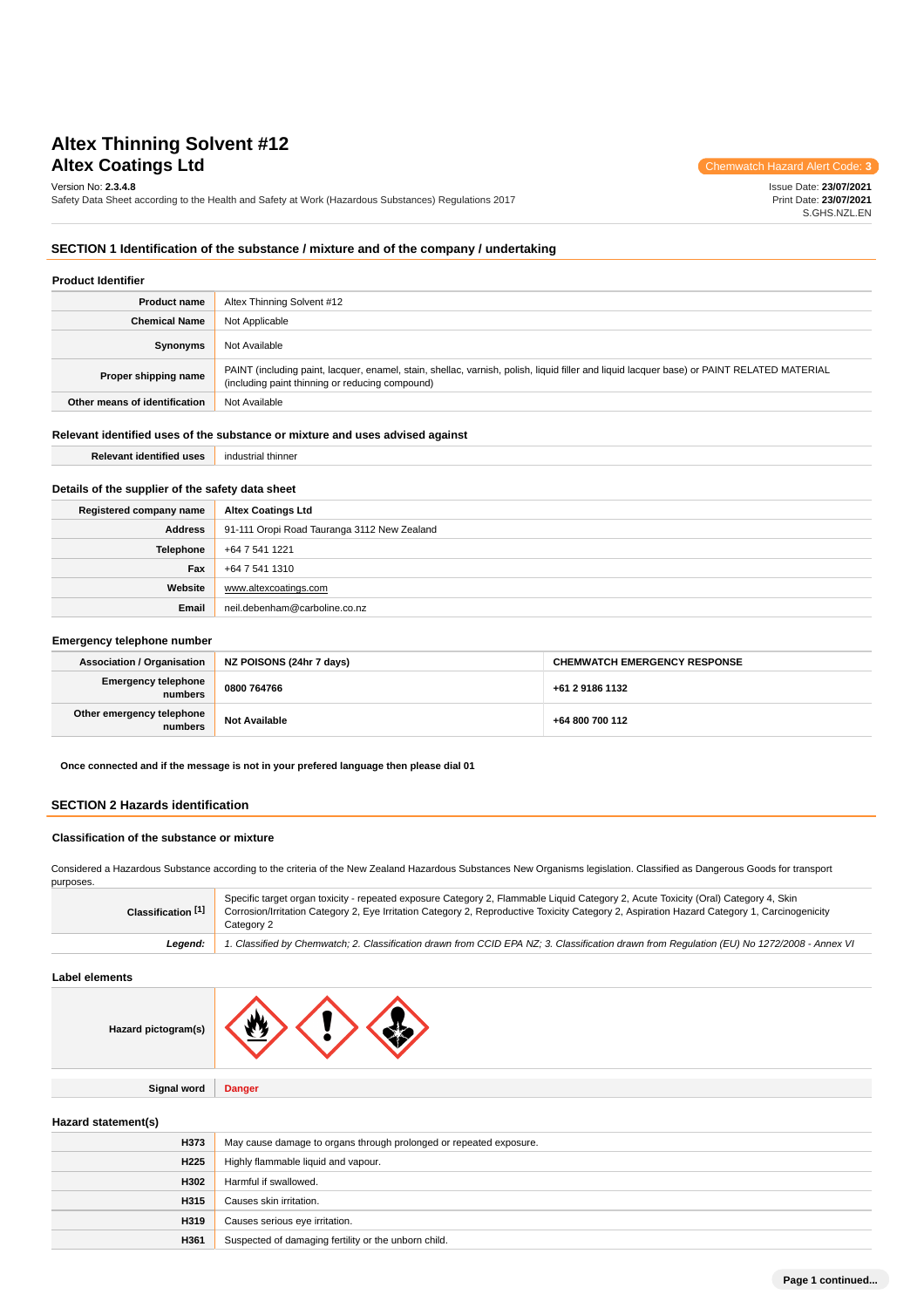# **Altex Thinning Solvent #12 Altex Coatings Ltd** Chemwatch Hazard Alert Code: **3**

Version No: **2.3.4.8**

Safety Data Sheet according to the Health and Safety at Work (Hazardous Substances) Regulations 2017

Issue Date: **23/07/2021** Print Date: **23/07/2021** S.GHS.NZL.EN

#### **SECTION 1 Identification of the substance / mixture and of the company / undertaking**

| <b>Product Identifier</b>     |                                                                                                                                                                                               |  |
|-------------------------------|-----------------------------------------------------------------------------------------------------------------------------------------------------------------------------------------------|--|
| <b>Product name</b>           | Altex Thinning Solvent #12                                                                                                                                                                    |  |
| <b>Chemical Name</b>          | Not Applicable                                                                                                                                                                                |  |
| Synonyms                      | Not Available                                                                                                                                                                                 |  |
| Proper shipping name          | PAINT (including paint, lacquer, enamel, stain, shellac, varnish, polish, liquid filler and liquid lacquer base) or PAINT RELATED MATERIAL<br>(including paint thinning or reducing compound) |  |
| Other means of identification | Not Available                                                                                                                                                                                 |  |
|                               |                                                                                                                                                                                               |  |

## **Relevant identified uses of the substance or mixture and uses advised against Relevant identified uses** industrial thinner

## **Details of the supplier of the safety data sheet**

| Registered company name | <b>Altex Coatings Ltd</b>                   |
|-------------------------|---------------------------------------------|
| Address                 | 91-111 Oropi Road Tauranga 3112 New Zealand |
| Telephone               | +64 7 541 1221                              |
| Fax                     | +64 7 541 1310                              |
| Website                 | www.altexcoatings.com                       |
| Email                   | neil.debenham@carboline.co.nz               |

#### **Emergency telephone number**

| <b>Association / Organisation</b>     | NZ POISONS (24hr 7 days) | <b>CHEMWATCH EMERGENCY RESPONSE</b> |
|---------------------------------------|--------------------------|-------------------------------------|
| <b>Emergency telephone</b><br>numbers | 0800 764766              | +61 2 9186 1132                     |
| Other emergency telephone<br>numbers  | <b>Not Available</b>     | +64 800 700 112                     |

**Once connected and if the message is not in your prefered language then please dial 01**

## **SECTION 2 Hazards identification**

#### **Classification of the substance or mixture**

Considered a Hazardous Substance according to the criteria of the New Zealand Hazardous Substances New Organisms legislation. Classified as Dangerous Goods for transport purposes.

| Classification [1] | Specific target organ toxicity - repeated exposure Category 2, Flammable Liquid Category 2, Acute Toxicity (Oral) Category 4, Skin<br>Corrosion/Irritation Category 2, Eye Irritation Category 2, Reproductive Toxicity Category 2, Aspiration Hazard Category 1, Carcinogenicity<br>Category 2 |
|--------------------|-------------------------------------------------------------------------------------------------------------------------------------------------------------------------------------------------------------------------------------------------------------------------------------------------|
| Leaend:            | 1. Classified by Chemwatch; 2. Classification drawn from CCID EPA NZ; 3. Classification drawn from Requlation (EU) No 1272/2008 - Annex VI                                                                                                                                                      |

### **Label elements**

| Hazard pictogram(s) | .W.           |
|---------------------|---------------|
|                     |               |
| <b>Signal word</b>  | <b>Danger</b> |

#### **Hazard statement(s)**

| H373             | May cause damage to organs through prolonged or repeated exposure. |
|------------------|--------------------------------------------------------------------|
| H <sub>225</sub> | Highly flammable liquid and vapour.                                |
| H302             | Harmful if swallowed.                                              |
| H315             | Causes skin irritation.                                            |
| H319             | Causes serious eye irritation.                                     |
| H361             | Suspected of damaging fertility or the unborn child.               |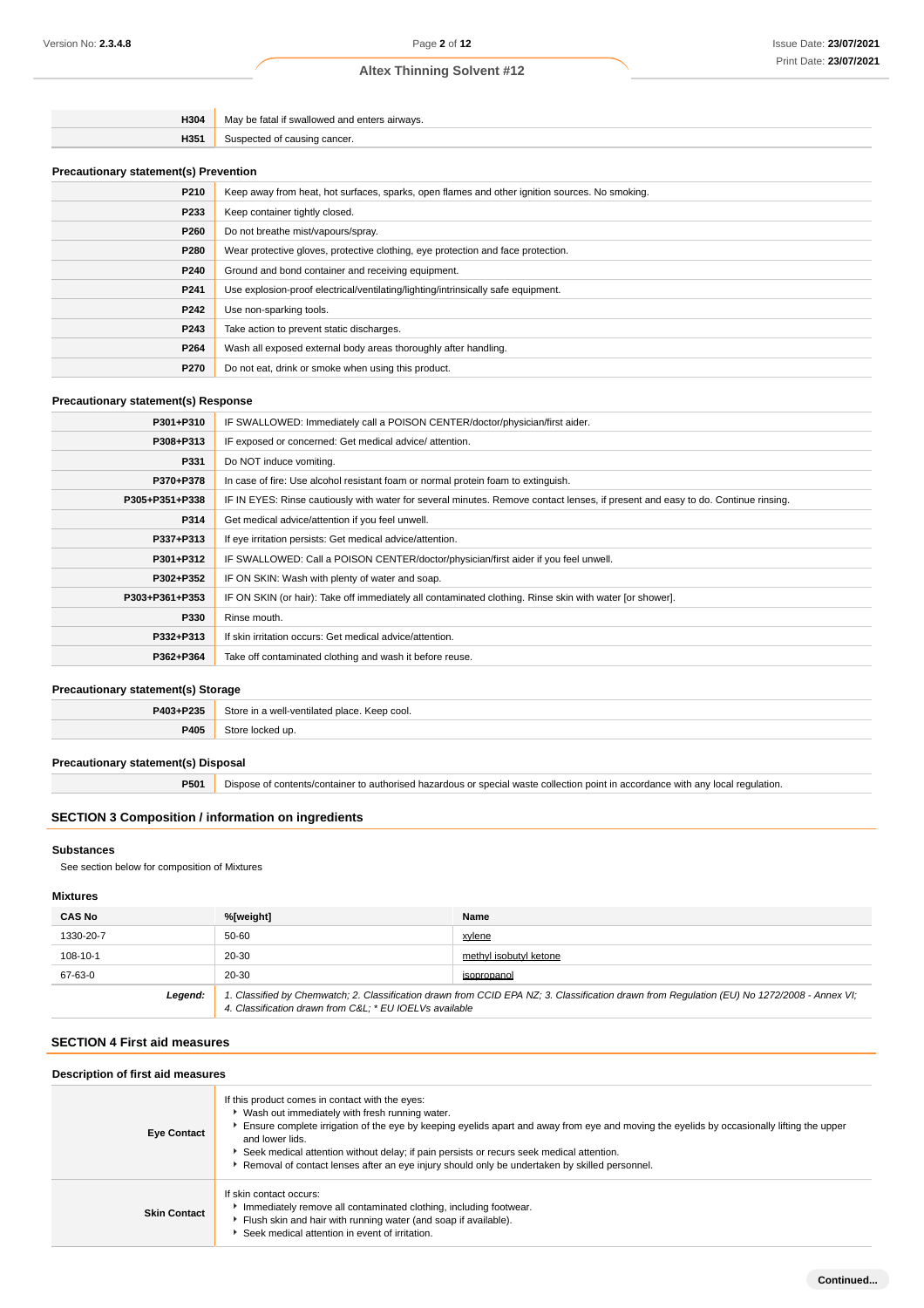| H304 | e tatal it swallowed and a<br>airways.<br>Mav he |
|------|--------------------------------------------------|
| H351 | cancer.                                          |

## **Precautionary statement(s) Prevention**

| $\cdots$ . The controller $\alpha$ is a controller to the controller |                                                                                                |  |
|----------------------------------------------------------------------|------------------------------------------------------------------------------------------------|--|
| P210                                                                 | Keep away from heat, hot surfaces, sparks, open flames and other ignition sources. No smoking. |  |
| P233                                                                 | Keep container tightly closed.                                                                 |  |
| P260                                                                 | Do not breathe mist/vapours/spray.                                                             |  |
| P280                                                                 | Wear protective gloves, protective clothing, eye protection and face protection.               |  |
| P240                                                                 | Ground and bond container and receiving equipment.                                             |  |
| P241                                                                 | Use explosion-proof electrical/ventilating/lighting/intrinsically safe equipment.              |  |
| P242                                                                 | Use non-sparking tools.                                                                        |  |
| P243                                                                 | Take action to prevent static discharges.                                                      |  |
| P264                                                                 | Wash all exposed external body areas thoroughly after handling.                                |  |
| P270                                                                 | Do not eat, drink or smoke when using this product.                                            |  |

### **Precautionary statement(s) Response**

| P301+P310<br>IF SWALLOWED: Immediately call a POISON CENTER/doctor/physician/first aider.<br>IF exposed or concerned: Get medical advice/attention.<br>P308+P313<br>P331<br>Do NOT induce vomiting.<br>In case of fire: Use alcohol resistant foam or normal protein foam to extinguish.<br>P370+P378<br>IF IN EYES: Rinse cautiously with water for several minutes. Remove contact lenses, if present and easy to do. Continue rinsing.<br>P305+P351+P338<br>P314<br>Get medical advice/attention if you feel unwell.<br>P337+P313<br>If eye irritation persists: Get medical advice/attention.<br>IF SWALLOWED: Call a POISON CENTER/doctor/physician/first aider if you feel unwell.<br>P301+P312<br>IF ON SKIN: Wash with plenty of water and soap.<br>P302+P352<br>IF ON SKIN (or hair): Take off immediately all contaminated clothing. Rinse skin with water [or shower].<br>P303+P361+P353<br>P330<br>Rinse mouth.<br>If skin irritation occurs: Get medical advice/attention.<br>P332+P313<br>P362+P364<br>Take off contaminated clothing and wash it before reuse. |  |
|-------------------------------------------------------------------------------------------------------------------------------------------------------------------------------------------------------------------------------------------------------------------------------------------------------------------------------------------------------------------------------------------------------------------------------------------------------------------------------------------------------------------------------------------------------------------------------------------------------------------------------------------------------------------------------------------------------------------------------------------------------------------------------------------------------------------------------------------------------------------------------------------------------------------------------------------------------------------------------------------------------------------------------------------------------------------------------|--|
|                                                                                                                                                                                                                                                                                                                                                                                                                                                                                                                                                                                                                                                                                                                                                                                                                                                                                                                                                                                                                                                                               |  |
|                                                                                                                                                                                                                                                                                                                                                                                                                                                                                                                                                                                                                                                                                                                                                                                                                                                                                                                                                                                                                                                                               |  |
|                                                                                                                                                                                                                                                                                                                                                                                                                                                                                                                                                                                                                                                                                                                                                                                                                                                                                                                                                                                                                                                                               |  |
|                                                                                                                                                                                                                                                                                                                                                                                                                                                                                                                                                                                                                                                                                                                                                                                                                                                                                                                                                                                                                                                                               |  |
|                                                                                                                                                                                                                                                                                                                                                                                                                                                                                                                                                                                                                                                                                                                                                                                                                                                                                                                                                                                                                                                                               |  |
|                                                                                                                                                                                                                                                                                                                                                                                                                                                                                                                                                                                                                                                                                                                                                                                                                                                                                                                                                                                                                                                                               |  |
|                                                                                                                                                                                                                                                                                                                                                                                                                                                                                                                                                                                                                                                                                                                                                                                                                                                                                                                                                                                                                                                                               |  |
|                                                                                                                                                                                                                                                                                                                                                                                                                                                                                                                                                                                                                                                                                                                                                                                                                                                                                                                                                                                                                                                                               |  |
|                                                                                                                                                                                                                                                                                                                                                                                                                                                                                                                                                                                                                                                                                                                                                                                                                                                                                                                                                                                                                                                                               |  |
|                                                                                                                                                                                                                                                                                                                                                                                                                                                                                                                                                                                                                                                                                                                                                                                                                                                                                                                                                                                                                                                                               |  |
|                                                                                                                                                                                                                                                                                                                                                                                                                                                                                                                                                                                                                                                                                                                                                                                                                                                                                                                                                                                                                                                                               |  |
|                                                                                                                                                                                                                                                                                                                                                                                                                                                                                                                                                                                                                                                                                                                                                                                                                                                                                                                                                                                                                                                                               |  |
|                                                                                                                                                                                                                                                                                                                                                                                                                                                                                                                                                                                                                                                                                                                                                                                                                                                                                                                                                                                                                                                                               |  |

## **Precautionary statement(s) Storage**

| P403+P235 | Store<br>e in a well-ventilated place. Keep cool. |
|-----------|---------------------------------------------------|
| P405      | 240<br>u                                          |

## **Precautionary statement(s) Disposal**

**P501** Dispose of contents/container to authorised hazardous or special waste collection point in accordance with any local regulation.

## **SECTION 3 Composition / information on ingredients**

#### **Substances**

See section below for composition of Mixtures

## **Mixtures**

| <b>CAS No</b>                                                                                                                                                                                                    | %[weight] | Name                   |
|------------------------------------------------------------------------------------------------------------------------------------------------------------------------------------------------------------------|-----------|------------------------|
| 1330-20-7                                                                                                                                                                                                        | 50-60     | xvlene                 |
| 108-10-1                                                                                                                                                                                                         | 20-30     | methyl isobutyl ketone |
| 67-63-0                                                                                                                                                                                                          | 20-30     | isopropanol            |
| 1. Classified by Chemwatch; 2. Classification drawn from CCID EPA NZ; 3. Classification drawn from Regulation (EU) No 1272/2008 - Annex VI;<br>Legend:<br>4. Classification drawn from C&L * EU IOELVs available |           |                        |

## **SECTION 4 First aid measures**

#### **Description of first aid measures**

|                     | If this product comes in contact with the eyes:                                                                                                                                                                   |
|---------------------|-------------------------------------------------------------------------------------------------------------------------------------------------------------------------------------------------------------------|
| <b>Eye Contact</b>  | ▶ Wash out immediately with fresh running water.<br>Ensure complete irrigation of the eye by keeping eyelids apart and away from eye and moving the eyelids by occasionally lifting the upper<br>and lower lids.  |
|                     | Seek medical attention without delay; if pain persists or recurs seek medical attention.<br>Removal of contact lenses after an eye injury should only be undertaken by skilled personnel.                         |
| <b>Skin Contact</b> | If skin contact occurs:<br>Inmediately remove all contaminated clothing, including footwear.<br>Flush skin and hair with running water (and soap if available).<br>Seek medical attention in event of irritation. |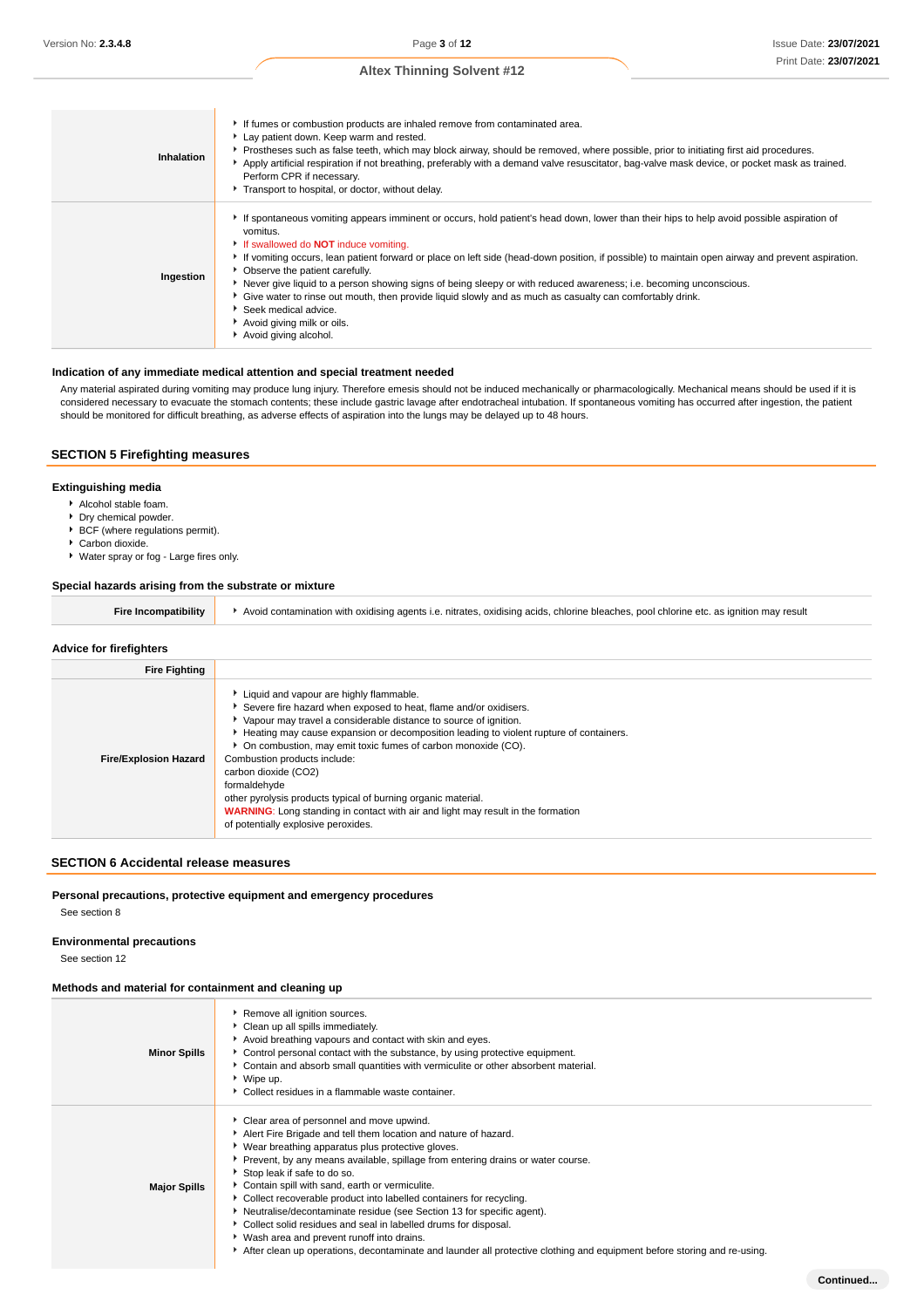| Inhalation | If fumes or combustion products are inhaled remove from contaminated area.<br>Lay patient down. Keep warm and rested.<br>Prostheses such as false teeth, which may block airway, should be removed, where possible, prior to initiating first aid procedures.<br>Apply artificial respiration if not breathing, preferably with a demand valve resuscitator, bag-valve mask device, or pocket mask as trained.<br>Perform CPR if necessary.<br>Transport to hospital, or doctor, without delay.                                                                                                                                                                                                                                     |
|------------|-------------------------------------------------------------------------------------------------------------------------------------------------------------------------------------------------------------------------------------------------------------------------------------------------------------------------------------------------------------------------------------------------------------------------------------------------------------------------------------------------------------------------------------------------------------------------------------------------------------------------------------------------------------------------------------------------------------------------------------|
| Ingestion  | If spontaneous vomiting appears imminent or occurs, hold patient's head down, lower than their hips to help avoid possible aspiration of<br>vomitus.<br>If swallowed do <b>NOT</b> induce vomiting.<br>If vomiting occurs, lean patient forward or place on left side (head-down position, if possible) to maintain open airway and prevent aspiration.<br>• Observe the patient carefully.<br>Never give liquid to a person showing signs of being sleepy or with reduced awareness; i.e. becoming unconscious.<br>► Give water to rinse out mouth, then provide liquid slowly and as much as casualty can comfortably drink.<br>$\blacktriangleright$ Seek medical advice.<br>Avoid giving milk or oils.<br>Avoid giving alcohol. |

### **Indication of any immediate medical attention and special treatment needed**

Any material aspirated during vomiting may produce lung injury. Therefore emesis should not be induced mechanically or pharmacologically. Mechanical means should be used if it is considered necessary to evacuate the stomach contents; these include gastric lavage after endotracheal intubation. If spontaneous vomiting has occurred after ingestion, the patient should be monitored for difficult breathing, as adverse effects of aspiration into the lungs may be delayed up to 48 hours.

## **SECTION 5 Firefighting measures**

### **Extinguishing media**

- Alcohol stable foam.
- **Dry chemical powder.**
- BCF (where regulations permit).
- Carbon dioxide.
- Water spray or fog Large fires only.

## **Special hazards arising from the substrate or mixture**

| Fire Incompatibility | Avoid contamination with oxidising agents i.e. nitrates, oxidising acids, chlorine bleaches, pool chlorine etc. as ignition may result |
|----------------------|----------------------------------------------------------------------------------------------------------------------------------------|
|----------------------|----------------------------------------------------------------------------------------------------------------------------------------|

#### **Advice for firefighters**

| <b>Fire Fighting</b>         |                                                                                                                                                                                                                                                                                                                                                                                                                                                                                                                                                                                                                        |
|------------------------------|------------------------------------------------------------------------------------------------------------------------------------------------------------------------------------------------------------------------------------------------------------------------------------------------------------------------------------------------------------------------------------------------------------------------------------------------------------------------------------------------------------------------------------------------------------------------------------------------------------------------|
| <b>Fire/Explosion Hazard</b> | Liquid and vapour are highly flammable.<br>Severe fire hazard when exposed to heat, flame and/or oxidisers.<br>Vapour may travel a considerable distance to source of ignition.<br>Heating may cause expansion or decomposition leading to violent rupture of containers.<br>* On combustion, may emit toxic fumes of carbon monoxide (CO).<br>Combustion products include:<br>carbon dioxide (CO2)<br>formaldehyde<br>other pyrolysis products typical of burning organic material.<br><b>WARNING:</b> Long standing in contact with air and light may result in the formation<br>of potentially explosive peroxides. |

## **SECTION 6 Accidental release measures**

## **Personal precautions, protective equipment and emergency procedures**

See section 8

## **Environmental precautions**

See section 12

#### **Methods and material for containment and cleaning up**

| <b>Minor Spills</b> | Remove all ignition sources.<br>Clean up all spills immediately.<br>Avoid breathing vapours and contact with skin and eyes.<br>• Control personal contact with the substance, by using protective equipment.<br>• Contain and absorb small quantities with vermiculite or other absorbent material.<br>▶ Wipe up.<br>• Collect residues in a flammable waste container.                                                                                                                                                                                                                                                                                                                                                                |
|---------------------|----------------------------------------------------------------------------------------------------------------------------------------------------------------------------------------------------------------------------------------------------------------------------------------------------------------------------------------------------------------------------------------------------------------------------------------------------------------------------------------------------------------------------------------------------------------------------------------------------------------------------------------------------------------------------------------------------------------------------------------|
| <b>Major Spills</b> | Clear area of personnel and move upwind.<br>Alert Fire Brigade and tell them location and nature of hazard.<br>▶ Wear breathing apparatus plus protective gloves.<br>▶ Prevent, by any means available, spillage from entering drains or water course.<br>Stop leak if safe to do so.<br>Contain spill with sand, earth or vermiculite.<br>• Collect recoverable product into labelled containers for recycling.<br>Neutralise/decontaminate residue (see Section 13 for specific agent).<br>Collect solid residues and seal in labelled drums for disposal.<br>▶ Wash area and prevent runoff into drains.<br>After clean up operations, decontaminate and launder all protective clothing and equipment before storing and re-using. |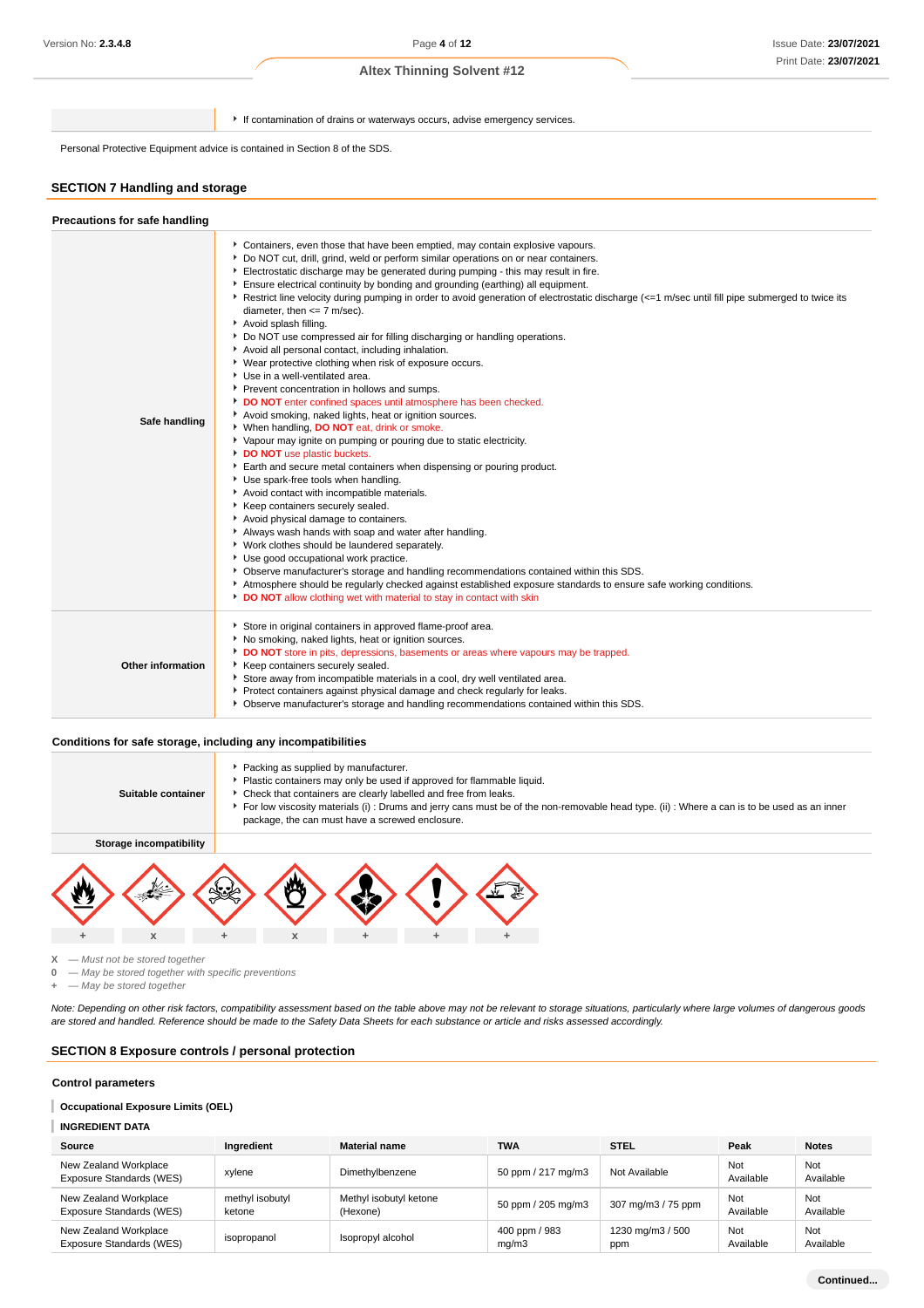If contamination of drains or waterways occurs, advise emergency services.

Personal Protective Equipment advice is contained in Section 8 of the SDS.

#### **SECTION 7 Handling and storage**

#### **Precautions for safe handling** Containers, even those that have been emptied, may contain explosive vapours. Do NOT cut, drill, grind, weld or perform similar operations on or near containers. Electrostatic discharge may be generated during pumping - this may result in fire. Ensure electrical continuity by bonding and grounding (earthing) all equipment. ▶ Restrict line velocity during pumping in order to avoid generation of electrostatic discharge (<=1 m/sec until fill pipe submerged to twice its diameter, then  $\leq$  7 m/sec). Avoid splash filling. ■ Do NOT use compressed air for filling discharging or handling operations. Avoid all personal contact, including inhalation. Wear protective clothing when risk of exposure occurs. Use in a well-ventilated area. **P** Prevent concentration in hollows and sumps. **DO NOT** enter confined spaces until atmosphere has been checked. Avoid smoking, naked lights, heat or ignition sources. **Safe handling** When handling, **DO NOT** eat, drink or smoke. Vapour may ignite on pumping or pouring due to static electricity. **DO NOT** use plastic buckets Earth and secure metal containers when dispensing or pouring product. Use spark-free tools when handling. Avoid contact with incompatible materials.  $\mathbf{r}$ Keep containers securely sealed. Avoid physical damage to containers. Always wash hands with soap and water after handling. Work clothes should be laundered separately. Use good occupational work practice. Observe manufacturer's storage and handling recommendations contained within this SDS. Atmosphere should be regularly checked against established exposure standards to ensure safe working conditions. **DO NOT** allow clothing wet with material to stay in contact with skin Store in original containers in approved flame-proof area. No smoking, naked lights, heat or ignition sources. **DO NOT** store in pits, depressions, basements or areas where vapours may be trapped. **Other information** Keep containers securely sealed. Store away from incompatible materials in a cool, dry well ventilated area. Protect containers against physical damage and check regularly for leaks. Observe manufacturer's storage and handling recommendations contained within this SDS.

#### **Conditions for safe storage, including any incompatibilities**

| Suitable container      | Packing as supplied by manufacturer.<br>Plastic containers may only be used if approved for flammable liquid.<br>Check that containers are clearly labelled and free from leaks.<br>▶ For low viscosity materials (i) : Drums and jerry cans must be of the non-removable head type. (ii) : Where a can is to be used as an inner<br>package, the can must have a screwed enclosure. |   |  |  |  |  |  |
|-------------------------|--------------------------------------------------------------------------------------------------------------------------------------------------------------------------------------------------------------------------------------------------------------------------------------------------------------------------------------------------------------------------------------|---|--|--|--|--|--|
| Storage incompatibility |                                                                                                                                                                                                                                                                                                                                                                                      |   |  |  |  |  |  |
|                         |                                                                                                                                                                                                                                                                                                                                                                                      |   |  |  |  |  |  |
| X                       | X                                                                                                                                                                                                                                                                                                                                                                                    | ÷ |  |  |  |  |  |

**X** — Must not be stored together

**0** — May be stored together with specific preventions

**+** — May be stored together

Note: Depending on other risk factors, compatibility assessment based on the table above may not be relevant to storage situations, particularly where large volumes of dangerous goods are stored and handled. Reference should be made to the Safety Data Sheets for each substance or article and risks assessed accordingly.

#### **SECTION 8 Exposure controls / personal protection**

#### **Control parameters**

**Occupational Exposure Limits (OEL)**

#### **INGREDIENT DATA**

| Source                                            | Ingredient                | <b>Material name</b>               | <b>TWA</b>             | <b>STEL</b>             | Peak             | <b>Notes</b>     |
|---------------------------------------------------|---------------------------|------------------------------------|------------------------|-------------------------|------------------|------------------|
| New Zealand Workplace<br>Exposure Standards (WES) | xylene                    | Dimethylbenzene                    | 50 ppm / 217 mg/m3     | Not Available           | Not<br>Available | Not<br>Available |
| New Zealand Workplace<br>Exposure Standards (WES) | methyl isobutyl<br>ketone | Methyl isobutyl ketone<br>(Hexone) | 50 ppm / 205 mg/m3     | 307 mg/m3 / 75 ppm      | Not<br>Available | Not<br>Available |
| New Zealand Workplace<br>Exposure Standards (WES) | isopropanol               | Isopropyl alcohol                  | 400 ppm / 983<br>ma/m3 | 1230 mg/m3 / 500<br>ppm | Not<br>Available | Not<br>Available |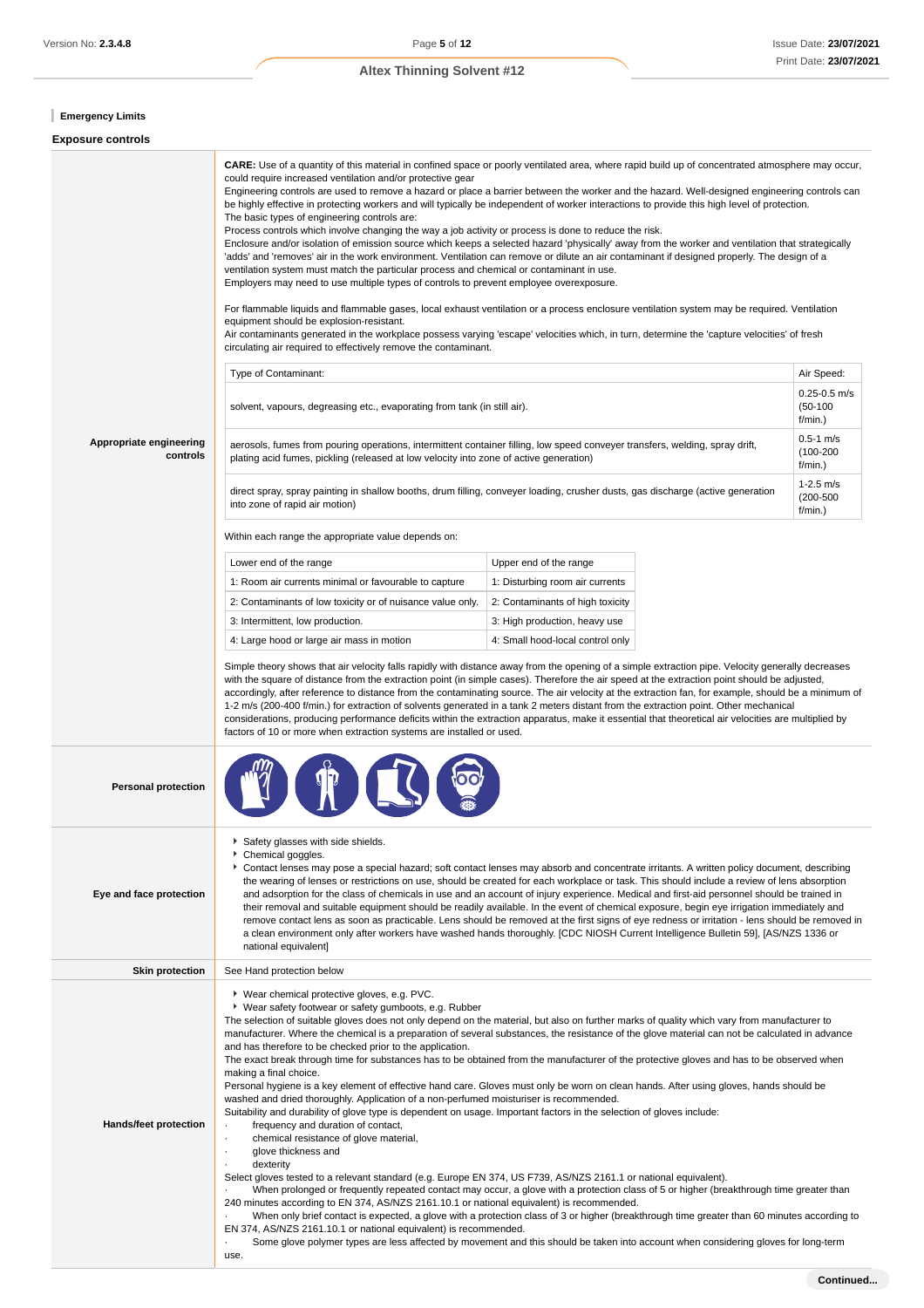## **Emergency Limits**

## **Exposure controls**

|                                     | could require increased ventilation and/or protective gear<br>The basic types of engineering controls are:<br>Process controls which involve changing the way a job activity or process is done to reduce the risk.<br>ventilation system must match the particular process and chemical or contaminant in use.<br>Employers may need to use multiple types of controls to prevent employee overexposure.<br>equipment should be explosion-resistant.<br>circulating air required to effectively remove the contaminant.                                                                                                                                                                                                                                                                                                                                                                                                                                                                                                                                                                                                                                                                                                                                                                                                                                                                                                                                                                                                                                                                                                                                                                                    | <b>CARE:</b> Use of a quantity of this material in confined space or poorly ventilated area, where rapid build up of concentrated atmosphere may occur,<br>Engineering controls are used to remove a hazard or place a barrier between the worker and the hazard. Well-designed engineering controls can<br>be highly effective in protecting workers and will typically be independent of worker interactions to provide this high level of protection.<br>Enclosure and/or isolation of emission source which keeps a selected hazard 'physically' away from the worker and ventilation that strategically<br>'adds' and 'removes' air in the work environment. Ventilation can remove or dilute an air contaminant if designed properly. The design of a<br>For flammable liquids and flammable gases, local exhaust ventilation or a process enclosure ventilation system may be required. Ventilation<br>Air contaminants generated in the workplace possess varying 'escape' velocities which, in turn, determine the 'capture velocities' of fresh |                                           |  |  |  |
|-------------------------------------|-------------------------------------------------------------------------------------------------------------------------------------------------------------------------------------------------------------------------------------------------------------------------------------------------------------------------------------------------------------------------------------------------------------------------------------------------------------------------------------------------------------------------------------------------------------------------------------------------------------------------------------------------------------------------------------------------------------------------------------------------------------------------------------------------------------------------------------------------------------------------------------------------------------------------------------------------------------------------------------------------------------------------------------------------------------------------------------------------------------------------------------------------------------------------------------------------------------------------------------------------------------------------------------------------------------------------------------------------------------------------------------------------------------------------------------------------------------------------------------------------------------------------------------------------------------------------------------------------------------------------------------------------------------------------------------------------------------|-----------------------------------------------------------------------------------------------------------------------------------------------------------------------------------------------------------------------------------------------------------------------------------------------------------------------------------------------------------------------------------------------------------------------------------------------------------------------------------------------------------------------------------------------------------------------------------------------------------------------------------------------------------------------------------------------------------------------------------------------------------------------------------------------------------------------------------------------------------------------------------------------------------------------------------------------------------------------------------------------------------------------------------------------------------|-------------------------------------------|--|--|--|
|                                     | Type of Contaminant:                                                                                                                                                                                                                                                                                                                                                                                                                                                                                                                                                                                                                                                                                                                                                                                                                                                                                                                                                                                                                                                                                                                                                                                                                                                                                                                                                                                                                                                                                                                                                                                                                                                                                        |                                                                                                                                                                                                                                                                                                                                                                                                                                                                                                                                                                                                                                                                                                                                                                                                                                                                                                                                                                                                                                                           | Air Speed:                                |  |  |  |
|                                     | solvent, vapours, degreasing etc., evaporating from tank (in still air).                                                                                                                                                                                                                                                                                                                                                                                                                                                                                                                                                                                                                                                                                                                                                                                                                                                                                                                                                                                                                                                                                                                                                                                                                                                                                                                                                                                                                                                                                                                                                                                                                                    |                                                                                                                                                                                                                                                                                                                                                                                                                                                                                                                                                                                                                                                                                                                                                                                                                                                                                                                                                                                                                                                           | $0.25 - 0.5$ m/s<br>$(50-100)$<br>f/min.) |  |  |  |
| Appropriate engineering<br>controls | plating acid fumes, pickling (released at low velocity into zone of active generation)                                                                                                                                                                                                                                                                                                                                                                                                                                                                                                                                                                                                                                                                                                                                                                                                                                                                                                                                                                                                                                                                                                                                                                                                                                                                                                                                                                                                                                                                                                                                                                                                                      | aerosols, fumes from pouring operations, intermittent container filling, low speed conveyer transfers, welding, spray drift,                                                                                                                                                                                                                                                                                                                                                                                                                                                                                                                                                                                                                                                                                                                                                                                                                                                                                                                              | $0.5 - 1$ m/s<br>$(100 - 200)$<br>f/min.) |  |  |  |
|                                     | into zone of rapid air motion)                                                                                                                                                                                                                                                                                                                                                                                                                                                                                                                                                                                                                                                                                                                                                                                                                                                                                                                                                                                                                                                                                                                                                                                                                                                                                                                                                                                                                                                                                                                                                                                                                                                                              | direct spray, spray painting in shallow booths, drum filling, conveyer loading, crusher dusts, gas discharge (active generation                                                                                                                                                                                                                                                                                                                                                                                                                                                                                                                                                                                                                                                                                                                                                                                                                                                                                                                           | $1 - 2.5$ m/s<br>$(200 - 500)$<br>f/min.) |  |  |  |
|                                     | Within each range the appropriate value depends on:                                                                                                                                                                                                                                                                                                                                                                                                                                                                                                                                                                                                                                                                                                                                                                                                                                                                                                                                                                                                                                                                                                                                                                                                                                                                                                                                                                                                                                                                                                                                                                                                                                                         |                                                                                                                                                                                                                                                                                                                                                                                                                                                                                                                                                                                                                                                                                                                                                                                                                                                                                                                                                                                                                                                           |                                           |  |  |  |
|                                     | Lower end of the range                                                                                                                                                                                                                                                                                                                                                                                                                                                                                                                                                                                                                                                                                                                                                                                                                                                                                                                                                                                                                                                                                                                                                                                                                                                                                                                                                                                                                                                                                                                                                                                                                                                                                      | Upper end of the range                                                                                                                                                                                                                                                                                                                                                                                                                                                                                                                                                                                                                                                                                                                                                                                                                                                                                                                                                                                                                                    |                                           |  |  |  |
|                                     | 1: Room air currents minimal or favourable to capture                                                                                                                                                                                                                                                                                                                                                                                                                                                                                                                                                                                                                                                                                                                                                                                                                                                                                                                                                                                                                                                                                                                                                                                                                                                                                                                                                                                                                                                                                                                                                                                                                                                       | 1: Disturbing room air currents                                                                                                                                                                                                                                                                                                                                                                                                                                                                                                                                                                                                                                                                                                                                                                                                                                                                                                                                                                                                                           |                                           |  |  |  |
|                                     | 2: Contaminants of low toxicity or of nuisance value only.                                                                                                                                                                                                                                                                                                                                                                                                                                                                                                                                                                                                                                                                                                                                                                                                                                                                                                                                                                                                                                                                                                                                                                                                                                                                                                                                                                                                                                                                                                                                                                                                                                                  | 2: Contaminants of high toxicity                                                                                                                                                                                                                                                                                                                                                                                                                                                                                                                                                                                                                                                                                                                                                                                                                                                                                                                                                                                                                          |                                           |  |  |  |
|                                     | 3: Intermittent, low production.                                                                                                                                                                                                                                                                                                                                                                                                                                                                                                                                                                                                                                                                                                                                                                                                                                                                                                                                                                                                                                                                                                                                                                                                                                                                                                                                                                                                                                                                                                                                                                                                                                                                            | 3: High production, heavy use                                                                                                                                                                                                                                                                                                                                                                                                                                                                                                                                                                                                                                                                                                                                                                                                                                                                                                                                                                                                                             |                                           |  |  |  |
|                                     | 4: Large hood or large air mass in motion                                                                                                                                                                                                                                                                                                                                                                                                                                                                                                                                                                                                                                                                                                                                                                                                                                                                                                                                                                                                                                                                                                                                                                                                                                                                                                                                                                                                                                                                                                                                                                                                                                                                   | 4: Small hood-local control only                                                                                                                                                                                                                                                                                                                                                                                                                                                                                                                                                                                                                                                                                                                                                                                                                                                                                                                                                                                                                          |                                           |  |  |  |
|                                     | Simple theory shows that air velocity falls rapidly with distance away from the opening of a simple extraction pipe. Velocity generally decreases<br>with the square of distance from the extraction point (in simple cases). Therefore the air speed at the extraction point should be adjusted,<br>accordingly, after reference to distance from the contaminating source. The air velocity at the extraction fan, for example, should be a minimum of<br>1-2 m/s (200-400 f/min.) for extraction of solvents generated in a tank 2 meters distant from the extraction point. Other mechanical<br>considerations, producing performance deficits within the extraction apparatus, make it essential that theoretical air velocities are multiplied by<br>factors of 10 or more when extraction systems are installed or used.                                                                                                                                                                                                                                                                                                                                                                                                                                                                                                                                                                                                                                                                                                                                                                                                                                                                             |                                                                                                                                                                                                                                                                                                                                                                                                                                                                                                                                                                                                                                                                                                                                                                                                                                                                                                                                                                                                                                                           |                                           |  |  |  |
| <b>Personal protection</b>          |                                                                                                                                                                                                                                                                                                                                                                                                                                                                                                                                                                                                                                                                                                                                                                                                                                                                                                                                                                                                                                                                                                                                                                                                                                                                                                                                                                                                                                                                                                                                                                                                                                                                                                             |                                                                                                                                                                                                                                                                                                                                                                                                                                                                                                                                                                                                                                                                                                                                                                                                                                                                                                                                                                                                                                                           |                                           |  |  |  |
| Eye and face protection             | Safety glasses with side shields.<br>Chemical goggles.<br>▶ Contact lenses may pose a special hazard; soft contact lenses may absorb and concentrate irritants. A written policy document, describing<br>the wearing of lenses or restrictions on use, should be created for each workplace or task. This should include a review of lens absorption<br>and adsorption for the class of chemicals in use and an account of injury experience. Medical and first-aid personnel should be trained in<br>their removal and suitable equipment should be readily available. In the event of chemical exposure, begin eye irrigation immediately and<br>remove contact lens as soon as practicable. Lens should be removed at the first signs of eye redness or irritation - lens should be removed in<br>a clean environment only after workers have washed hands thoroughly. [CDC NIOSH Current Intelligence Bulletin 59], [AS/NZS 1336 or<br>national equivalent]                                                                                                                                                                                                                                                                                                                                                                                                                                                                                                                                                                                                                                                                                                                                             |                                                                                                                                                                                                                                                                                                                                                                                                                                                                                                                                                                                                                                                                                                                                                                                                                                                                                                                                                                                                                                                           |                                           |  |  |  |
| <b>Skin protection</b>              | See Hand protection below                                                                                                                                                                                                                                                                                                                                                                                                                                                                                                                                                                                                                                                                                                                                                                                                                                                                                                                                                                                                                                                                                                                                                                                                                                                                                                                                                                                                                                                                                                                                                                                                                                                                                   |                                                                                                                                                                                                                                                                                                                                                                                                                                                                                                                                                                                                                                                                                                                                                                                                                                                                                                                                                                                                                                                           |                                           |  |  |  |
| Hands/feet protection               | ▶ Wear chemical protective gloves, e.g. PVC.<br>▶ Wear safety footwear or safety gumboots, e.g. Rubber<br>The selection of suitable gloves does not only depend on the material, but also on further marks of quality which vary from manufacturer to<br>manufacturer. Where the chemical is a preparation of several substances, the resistance of the glove material can not be calculated in advance<br>and has therefore to be checked prior to the application.<br>The exact break through time for substances has to be obtained from the manufacturer of the protective gloves and has to be observed when<br>making a final choice.<br>Personal hygiene is a key element of effective hand care. Gloves must only be worn on clean hands. After using gloves, hands should be<br>washed and dried thoroughly. Application of a non-perfumed moisturiser is recommended.<br>Suitability and durability of glove type is dependent on usage. Important factors in the selection of gloves include:<br>frequency and duration of contact,<br>chemical resistance of glove material,<br>glove thickness and<br>dexterity<br>Select gloves tested to a relevant standard (e.g. Europe EN 374, US F739, AS/NZS 2161.1 or national equivalent).<br>When prolonged or frequently repeated contact may occur, a glove with a protection class of 5 or higher (breakthrough time greater than<br>240 minutes according to EN 374, AS/NZS 2161.10.1 or national equivalent) is recommended.<br>When only brief contact is expected, a glove with a protection class of 3 or higher (breakthrough time greater than 60 minutes according to<br>EN 374, AS/NZS 2161.10.1 or national equivalent) is recommended. |                                                                                                                                                                                                                                                                                                                                                                                                                                                                                                                                                                                                                                                                                                                                                                                                                                                                                                                                                                                                                                                           |                                           |  |  |  |
|                                     | use.                                                                                                                                                                                                                                                                                                                                                                                                                                                                                                                                                                                                                                                                                                                                                                                                                                                                                                                                                                                                                                                                                                                                                                                                                                                                                                                                                                                                                                                                                                                                                                                                                                                                                                        |                                                                                                                                                                                                                                                                                                                                                                                                                                                                                                                                                                                                                                                                                                                                                                                                                                                                                                                                                                                                                                                           |                                           |  |  |  |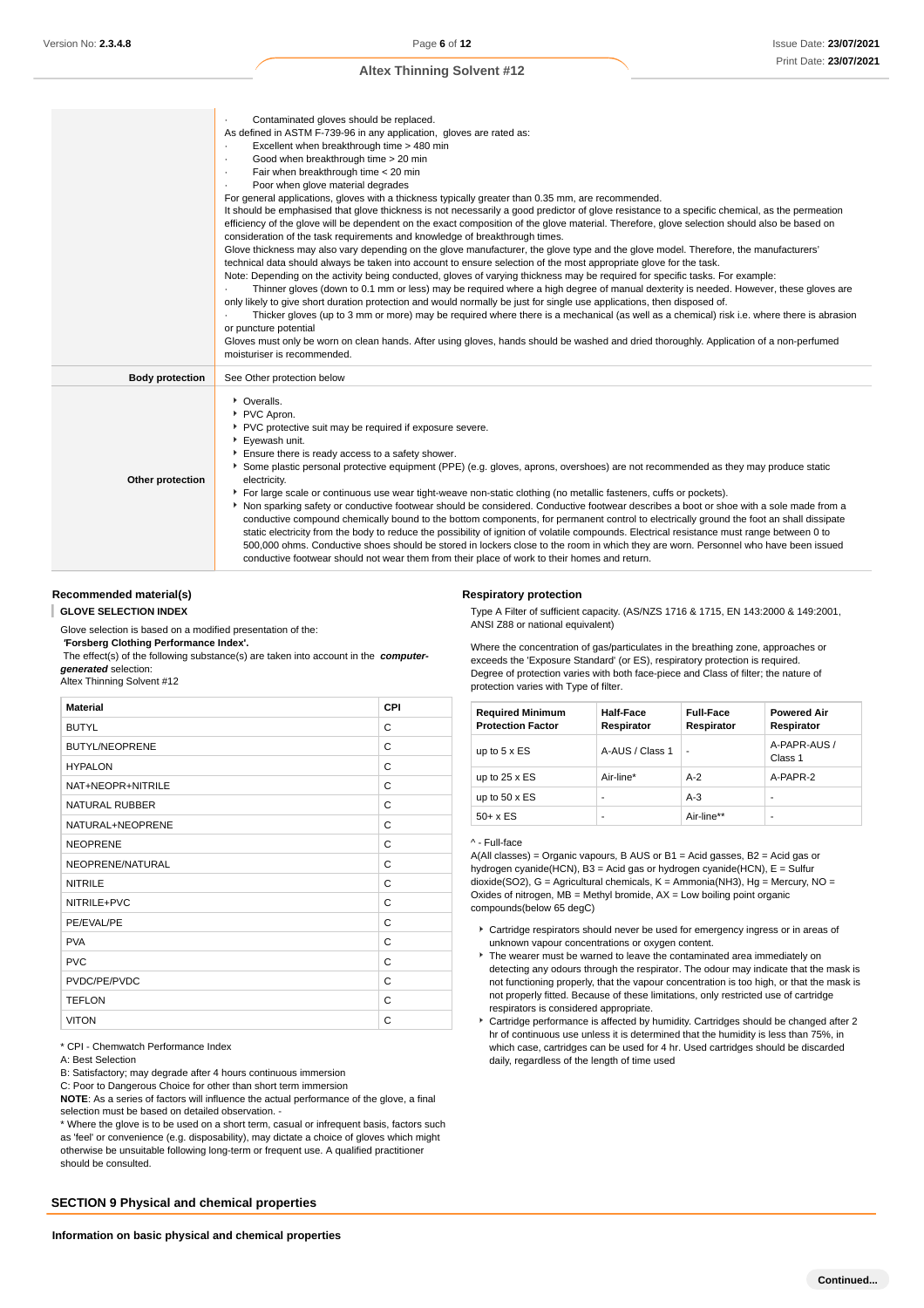|                        | Contaminated gloves should be replaced.<br>As defined in ASTM F-739-96 in any application, gloves are rated as:<br>Excellent when breakthrough time > 480 min<br>٠<br>Good when breakthrough time > 20 min<br>٠<br>Fair when breakthrough time < 20 min<br>٠<br>Poor when glove material degrades<br>For general applications, gloves with a thickness typically greater than 0.35 mm, are recommended.<br>It should be emphasised that glove thickness is not necessarily a good predictor of glove resistance to a specific chemical, as the permeation<br>efficiency of the glove will be dependent on the exact composition of the glove material. Therefore, glove selection should also be based on<br>consideration of the task requirements and knowledge of breakthrough times.<br>Glove thickness may also vary depending on the glove manufacturer, the glove type and the glove model. Therefore, the manufacturers'<br>technical data should always be taken into account to ensure selection of the most appropriate glove for the task.<br>Note: Depending on the activity being conducted, gloves of varying thickness may be required for specific tasks. For example:<br>Thinner gloves (down to 0.1 mm or less) may be required where a high degree of manual dexterity is needed. However, these gloves are<br>only likely to give short duration protection and would normally be just for single use applications, then disposed of.<br>Thicker gloves (up to 3 mm or more) may be required where there is a mechanical (as well as a chemical) risk i.e. where there is abrasion<br>or puncture potential<br>Gloves must only be worn on clean hands. After using gloves, hands should be washed and dried thoroughly. Application of a non-perfumed<br>moisturiser is recommended. |
|------------------------|------------------------------------------------------------------------------------------------------------------------------------------------------------------------------------------------------------------------------------------------------------------------------------------------------------------------------------------------------------------------------------------------------------------------------------------------------------------------------------------------------------------------------------------------------------------------------------------------------------------------------------------------------------------------------------------------------------------------------------------------------------------------------------------------------------------------------------------------------------------------------------------------------------------------------------------------------------------------------------------------------------------------------------------------------------------------------------------------------------------------------------------------------------------------------------------------------------------------------------------------------------------------------------------------------------------------------------------------------------------------------------------------------------------------------------------------------------------------------------------------------------------------------------------------------------------------------------------------------------------------------------------------------------------------------------------------------------------------------------------------------------------------------------------------------------|
| <b>Body protection</b> | See Other protection below                                                                                                                                                                                                                                                                                                                                                                                                                                                                                                                                                                                                                                                                                                                                                                                                                                                                                                                                                                                                                                                                                                                                                                                                                                                                                                                                                                                                                                                                                                                                                                                                                                                                                                                                                                                 |
| Other protection       | • Overalls.<br>PVC Apron.<br>▶ PVC protective suit may be required if exposure severe.<br>Eyewash unit.<br>Ensure there is ready access to a safety shower.<br>Some plastic personal protective equipment (PPE) (e.g. gloves, aprons, overshoes) are not recommended as they may produce static<br>electricity.<br>For large scale or continuous use wear tight-weave non-static clothing (no metallic fasteners, cuffs or pockets).<br>Non sparking safety or conductive footwear should be considered. Conductive footwear describes a boot or shoe with a sole made from a<br>conductive compound chemically bound to the bottom components, for permanent control to electrically ground the foot an shall dissipate<br>static electricity from the body to reduce the possibility of ignition of volatile compounds. Electrical resistance must range between 0 to<br>500,000 ohms. Conductive shoes should be stored in lockers close to the room in which they are worn. Personnel who have been issued<br>conductive footwear should not wear them from their place of work to their homes and return.                                                                                                                                                                                                                                                                                                                                                                                                                                                                                                                                                                                                                                                                                             |

#### **Recommended material(s)**

**GLOVE SELECTION INDEX** ı

Glove selection is based on a modified presentation of the:  **'Forsberg Clothing Performance Index'.**

 The effect(s) of the following substance(s) are taken into account in the **computergenerated** selection:

Altex Thinning Solvent #12

| <b>Material</b>       | CPI |
|-----------------------|-----|
| <b>BUTYL</b>          | C   |
| <b>BUTYL/NEOPRENE</b> | C   |
| <b>HYPALON</b>        | C   |
| NAT+NEOPR+NITRILE     | C   |
| <b>NATURAL RUBBER</b> | C   |
| NATURAL+NEOPRENE      | C   |
| <b>NEOPRENE</b>       | C   |
| NEOPRENE/NATURAL      | C   |
| <b>NITRILE</b>        | C   |
| NITRILE+PVC           | C   |
| PE/EVAL/PE            | C   |
| <b>PVA</b>            | C   |
| <b>PVC</b>            | C   |
| PVDC/PE/PVDC          | C   |
| <b>TEFLON</b>         | C   |
| <b>VITON</b>          | C   |

\* CPI - Chemwatch Performance Index

#### A: Best Selection

B: Satisfactory; may degrade after 4 hours continuous immersion

C: Poor to Dangerous Choice for other than short term immersion

**NOTE**: As a series of factors will influence the actual performance of the glove, a final selection must be based on detailed observation. -

\* Where the glove is to be used on a short term, casual or infrequent basis, factors such as 'feel' or convenience (e.g. disposability), may dictate a choice of gloves which might otherwise be unsuitable following long-term or frequent use. A qualified practitioner should be consulted.

### **SECTION 9 Physical and chemical properties**

#### **Respiratory protection**

Type A Filter of sufficient capacity. (AS/NZS 1716 & 1715, EN 143:2000 & 149:2001, ANSI Z88 or national equivalent)

Where the concentration of gas/particulates in the breathing zone, approaches or exceeds the 'Exposure Standard' (or ES), respiratory protection is required. Degree of protection varies with both face-piece and Class of filter; the nature of protection varies with Type of filter.

| <b>Required Minimum</b><br><b>Protection Factor</b> | <b>Half-Face</b><br>Respirator | <b>Full-Face</b><br>Respirator | <b>Powered Air</b><br>Respirator |
|-----------------------------------------------------|--------------------------------|--------------------------------|----------------------------------|
| up to $5 \times ES$                                 | A-AUS / Class 1                | ٠                              | A-PAPR-AUS /<br>Class 1          |
| up to $25 \times ES$                                | Air-line*                      | $A-2$                          | A-PAPR-2                         |
| up to $50 \times ES$                                | -                              | $A-3$                          |                                  |
| $50+ x ES$                                          | -                              | Air-line**                     |                                  |

#### ^ - Full-face

A(All classes) = Organic vapours, B AUS or B1 = Acid gasses, B2 = Acid gas or hydrogen cyanide(HCN), B3 = Acid gas or hydrogen cyanide(HCN), E = Sulfur dioxide(SO2), G = Agricultural chemicals, K = Ammonia(NH3), Hg = Mercury, NO = Oxides of nitrogen,  $MB =$  Methyl bromide,  $AX =$  Low boiling point organic compounds(below 65 degC)

- Cartridge respirators should never be used for emergency ingress or in areas of unknown vapour concentrations or oxygen content.
- The wearer must be warned to leave the contaminated area immediately on detecting any odours through the respirator. The odour may indicate that the mask is not functioning properly, that the vapour concentration is too high, or that the mask is not properly fitted. Because of these limitations, only restricted use of cartridge respirators is considered appropriate.
- ► Cartridge performance is affected by humidity. Cartridges should be changed after 2 hr of continuous use unless it is determined that the humidity is less than 75%, in which case, cartridges can be used for 4 hr. Used cartridges should be discarded daily, regardless of the length of time used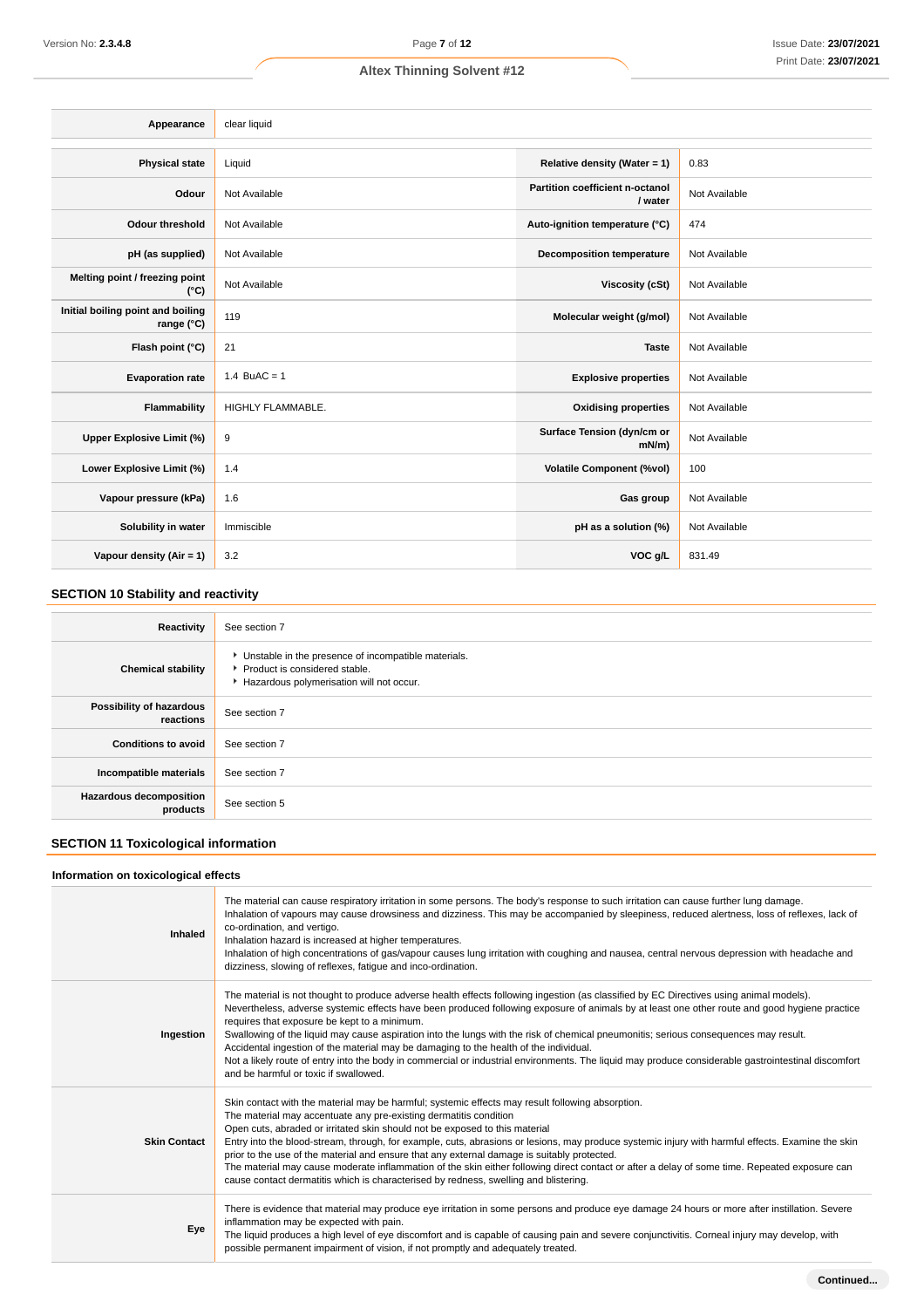| Appearance                                      | clear liquid             |                                            |               |
|-------------------------------------------------|--------------------------|--------------------------------------------|---------------|
|                                                 |                          |                                            |               |
| <b>Physical state</b>                           | Liquid                   | Relative density (Water = 1)               | 0.83          |
| Odour                                           | Not Available            | Partition coefficient n-octanol<br>/ water | Not Available |
| <b>Odour threshold</b>                          | Not Available            | Auto-ignition temperature (°C)             | 474           |
| pH (as supplied)                                | Not Available            | <b>Decomposition temperature</b>           | Not Available |
| Melting point / freezing point<br>$(^{\circ}C)$ | Not Available            | <b>Viscosity (cSt)</b>                     | Not Available |
| Initial boiling point and boiling<br>range (°C) | 119                      | Molecular weight (g/mol)                   | Not Available |
| Flash point (°C)                                | 21                       | <b>Taste</b>                               | Not Available |
| <b>Evaporation rate</b>                         | 1.4 BuAC = $1$           | <b>Explosive properties</b>                | Not Available |
| Flammability                                    | <b>HIGHLY FLAMMABLE.</b> | <b>Oxidising properties</b>                | Not Available |
| Upper Explosive Limit (%)                       | 9                        | Surface Tension (dyn/cm or<br>$mN/m$ )     | Not Available |
| Lower Explosive Limit (%)                       | 1.4                      | <b>Volatile Component (%vol)</b>           | 100           |
| Vapour pressure (kPa)                           | 1.6                      | Gas group                                  | Not Available |
| Solubility in water                             | Immiscible               | pH as a solution (%)                       | Not Available |
| Vapour density (Air = 1)                        | 3.2                      | VOC g/L                                    | 831.49        |

## **SECTION 10 Stability and reactivity**

| Reactivity                                 | See section 7                                                                                                                      |
|--------------------------------------------|------------------------------------------------------------------------------------------------------------------------------------|
| <b>Chemical stability</b>                  | • Unstable in the presence of incompatible materials.<br>Product is considered stable.<br>Hazardous polymerisation will not occur. |
| Possibility of hazardous<br>reactions      | See section 7                                                                                                                      |
| <b>Conditions to avoid</b>                 | See section 7                                                                                                                      |
| Incompatible materials                     | See section 7                                                                                                                      |
| <b>Hazardous decomposition</b><br>products | See section 5                                                                                                                      |

## **SECTION 11 Toxicological information**

## **Information on toxicological effects**

| Inhaled             | The material can cause respiratory irritation in some persons. The body's response to such irritation can cause further lung damage.<br>Inhalation of vapours may cause drowsiness and dizziness. This may be accompanied by sleepiness, reduced alertness, loss of reflexes, lack of<br>co-ordination, and vertigo.<br>Inhalation hazard is increased at higher temperatures.<br>Inhalation of high concentrations of gas/vapour causes lung irritation with coughing and nausea, central nervous depression with headache and<br>dizziness, slowing of reflexes, fatigue and inco-ordination.                                                                                                                                                                           |
|---------------------|---------------------------------------------------------------------------------------------------------------------------------------------------------------------------------------------------------------------------------------------------------------------------------------------------------------------------------------------------------------------------------------------------------------------------------------------------------------------------------------------------------------------------------------------------------------------------------------------------------------------------------------------------------------------------------------------------------------------------------------------------------------------------|
| Ingestion           | The material is not thought to produce adverse health effects following ingestion (as classified by EC Directives using animal models).<br>Nevertheless, adverse systemic effects have been produced following exposure of animals by at least one other route and good hygiene practice<br>requires that exposure be kept to a minimum.<br>Swallowing of the liquid may cause aspiration into the lungs with the risk of chemical pneumonitis; serious consequences may result.<br>Accidental ingestion of the material may be damaging to the health of the individual.<br>Not a likely route of entry into the body in commercial or industrial environments. The liquid may produce considerable gastrointestinal discomfort<br>and be harmful or toxic if swallowed. |
| <b>Skin Contact</b> | Skin contact with the material may be harmful; systemic effects may result following absorption.<br>The material may accentuate any pre-existing dermatitis condition<br>Open cuts, abraded or irritated skin should not be exposed to this material<br>Entry into the blood-stream, through, for example, cuts, abrasions or lesions, may produce systemic injury with harmful effects. Examine the skin<br>prior to the use of the material and ensure that any external damage is suitably protected.<br>The material may cause moderate inflammation of the skin either following direct contact or after a delay of some time. Repeated exposure can<br>cause contact dermatitis which is characterised by redness, swelling and blistering.                         |
| Eye                 | There is evidence that material may produce eye irritation in some persons and produce eye damage 24 hours or more after instillation. Severe<br>inflammation may be expected with pain.<br>The liquid produces a high level of eye discomfort and is capable of causing pain and severe conjunctivitis. Corneal injury may develop, with<br>possible permanent impairment of vision, if not promptly and adequately treated.                                                                                                                                                                                                                                                                                                                                             |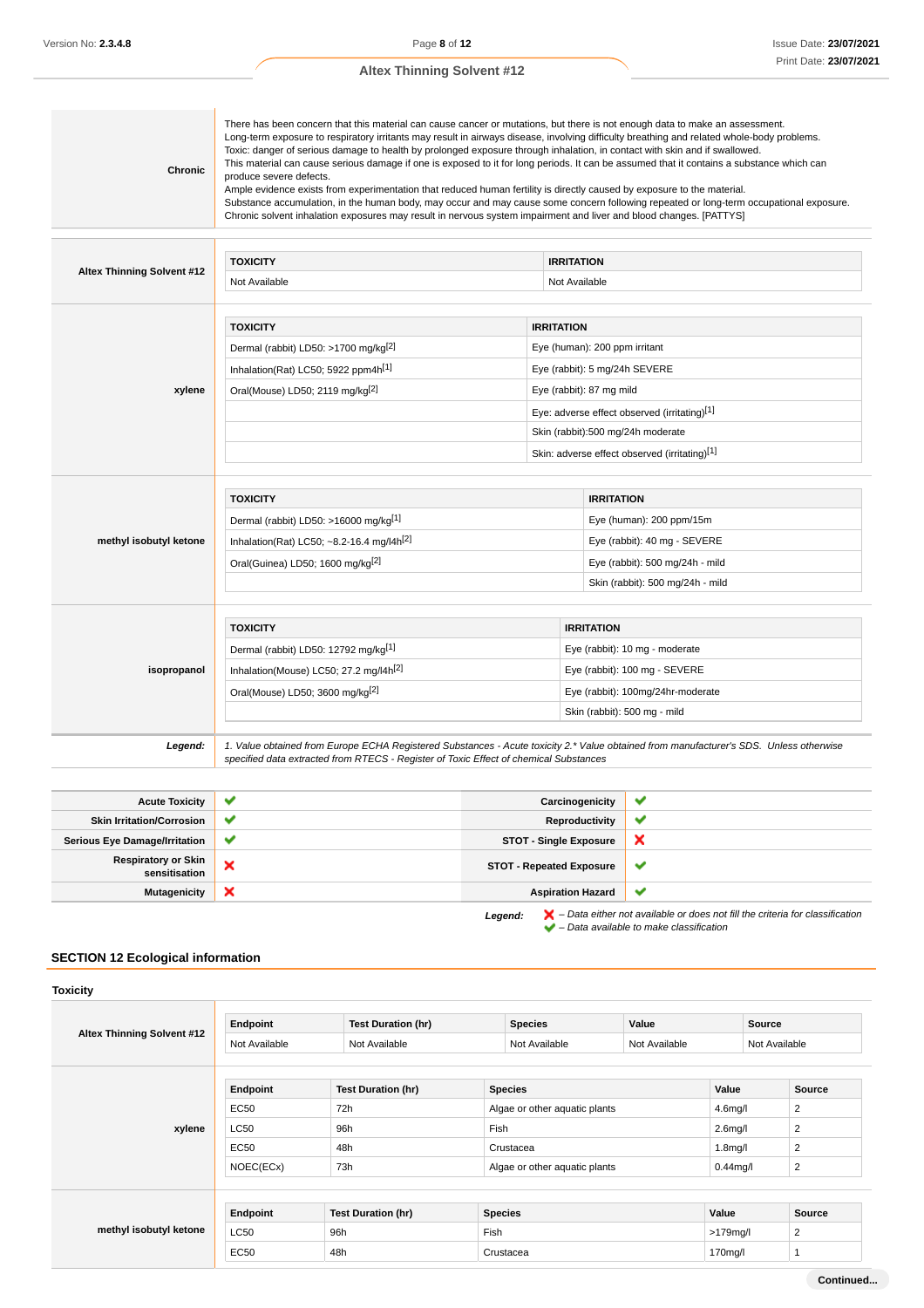| Chronic                    | There has been concern that this material can cause cancer or mutations, but there is not enough data to make an assessment.<br>Long-term exposure to respiratory irritants may result in airways disease, involving difficulty breathing and related whole-body problems.<br>Toxic: danger of serious damage to health by prolonged exposure through inhalation, in contact with skin and if swallowed.<br>This material can cause serious damage if one is exposed to it for long periods. It can be assumed that it contains a substance which can<br>produce severe defects.<br>Ample evidence exists from experimentation that reduced human fertility is directly caused by exposure to the material.<br>Substance accumulation, in the human body, may occur and may cause some concern following repeated or long-term occupational exposure.<br>Chronic solvent inhalation exposures may result in nervous system impairment and liver and blood changes. [PATTYS] |                                                                                                                                                                                                                                                       |                                                                                                                  |
|----------------------------|-----------------------------------------------------------------------------------------------------------------------------------------------------------------------------------------------------------------------------------------------------------------------------------------------------------------------------------------------------------------------------------------------------------------------------------------------------------------------------------------------------------------------------------------------------------------------------------------------------------------------------------------------------------------------------------------------------------------------------------------------------------------------------------------------------------------------------------------------------------------------------------------------------------------------------------------------------------------------------|-------------------------------------------------------------------------------------------------------------------------------------------------------------------------------------------------------------------------------------------------------|------------------------------------------------------------------------------------------------------------------|
| Altex Thinning Solvent #12 | <b>TOXICITY</b><br>Not Available                                                                                                                                                                                                                                                                                                                                                                                                                                                                                                                                                                                                                                                                                                                                                                                                                                                                                                                                            | <b>IRRITATION</b><br>Not Available                                                                                                                                                                                                                    |                                                                                                                  |
| xylene                     | <b>TOXICITY</b><br>Dermal (rabbit) LD50: >1700 mg/kg <sup>[2]</sup><br>Inhalation(Rat) LC50; 5922 ppm4h[1]<br>Oral(Mouse) LD50; 2119 mg/kg <sup>[2]</sup>                                                                                                                                                                                                                                                                                                                                                                                                                                                                                                                                                                                                                                                                                                                                                                                                                   | <b>IRRITATION</b><br>Eye (human): 200 ppm irritant<br>Eye (rabbit): 5 mg/24h SEVERE<br>Eye (rabbit): 87 mg mild<br>Eye: adverse effect observed (irritating)[1]<br>Skin (rabbit):500 mg/24h moderate<br>Skin: adverse effect observed (irritating)[1] |                                                                                                                  |
| methyl isobutyl ketone     | <b>TOXICITY</b><br>Dermal (rabbit) LD50: >16000 mg/kg[1]<br>Inhalation(Rat) LC50; ~8.2-16.4 mg/l4h <sup>[2]</sup><br>Oral(Guinea) LD50; 1600 mg/kg[2]                                                                                                                                                                                                                                                                                                                                                                                                                                                                                                                                                                                                                                                                                                                                                                                                                       |                                                                                                                                                                                                                                                       | <b>IRRITATION</b><br>Eye (human): 200 ppm/15m<br>Eye (rabbit): 40 mg - SEVERE<br>Eye (rabbit): 500 mg/24h - mild |

|             | Skin (rabbit): 500 mg/24h - mild                   |                                |                                                                                                                                        |  |
|-------------|----------------------------------------------------|--------------------------------|----------------------------------------------------------------------------------------------------------------------------------------|--|
|             |                                                    |                                |                                                                                                                                        |  |
|             | <b>TOXICITY</b>                                    |                                | <b>IRRITATION</b>                                                                                                                      |  |
| isopropanol | Dermal (rabbit) LD50: 12792 mg/kg <sup>[1]</sup>   | Eye (rabbit): 10 mg - moderate |                                                                                                                                        |  |
|             | Inhalation(Mouse) LC50; 27.2 mg/l4h <sup>[2]</sup> |                                | Eye (rabbit): 100 mg - SEVERE                                                                                                          |  |
|             | Oral(Mouse) LD50; 3600 mg/kg <sup>[2]</sup>        |                                | Eye (rabbit): 100mg/24hr-moderate                                                                                                      |  |
|             |                                                    |                                | Skin (rabbit): 500 mg - mild                                                                                                           |  |
| Legend:     |                                                    |                                | 1. Value obtained from Europe ECHA Registered Substances - Acute toxicity 2.* Value obtained from manufacturer's SDS. Unless otherwise |  |

| <b>Acute Toxicity</b>                |              | Carcinogenicity                 | ✔            |
|--------------------------------------|--------------|---------------------------------|--------------|
| <b>Skin Irritation/Corrosion</b>     |              | Reproductivity                  | $\checkmark$ |
| <b>Serious Eye Damage/Irritation</b> | $\checkmark$ | <b>STOT - Single Exposure</b>   |              |
| Respiratory or Skin<br>sensitisation | ×            | <b>STOT - Repeated Exposure</b> | v            |
| <b>Mutagenicity</b>                  | ж            | <b>Aspiration Hazard</b>        |              |

specified data extracted from RTECS - Register of Toxic Effect of chemical Substances

**Legend:** – Data either not available or does not fill the criteria for classification – Data available to make classification

## **SECTION 12 Ecological information**

| <b>Toxicity</b>            |               |                           |                |                               |             |                                        |
|----------------------------|---------------|---------------------------|----------------|-------------------------------|-------------|----------------------------------------|
| Altex Thinning Solvent #12 | Endpoint      | <b>Test Duration (hr)</b> | <b>Species</b> | Value                         |             | Source                                 |
|                            | Not Available | Not Available             | Not Available  | Not Available                 |             | Not Available                          |
|                            |               |                           |                |                               | Value       |                                        |
|                            | Endpoint      | <b>Test Duration (hr)</b> |                | <b>Species</b>                |             | <b>Source</b>                          |
| xylene                     | <b>EC50</b>   | 72h                       |                | Algae or other aquatic plants |             | $\overline{2}$<br>4.6 <sub>m</sub> g/l |
|                            | <b>LC50</b>   | 96h                       | Fish           |                               |             | 2<br>2.6 <sub>m</sub> g/l              |
|                            | EC50          | 48h                       | Crustacea      |                               |             | 2<br>1.8 <sub>m</sub> g/l              |
|                            | NOEC(ECx)     | 73h                       |                | Algae or other aquatic plants |             | 2<br>$0.44$ mg/l                       |
|                            |               |                           |                |                               |             |                                        |
| methyl isobutyl ketone     | Endpoint      | <b>Test Duration (hr)</b> | <b>Species</b> |                               | Value       | <b>Source</b>                          |
|                            | <b>LC50</b>   | 96h                       | Fish           |                               | $>179$ mg/l | 2                                      |
|                            | <b>EC50</b>   | 48h                       | Crustacea      |                               | 170mg/l     |                                        |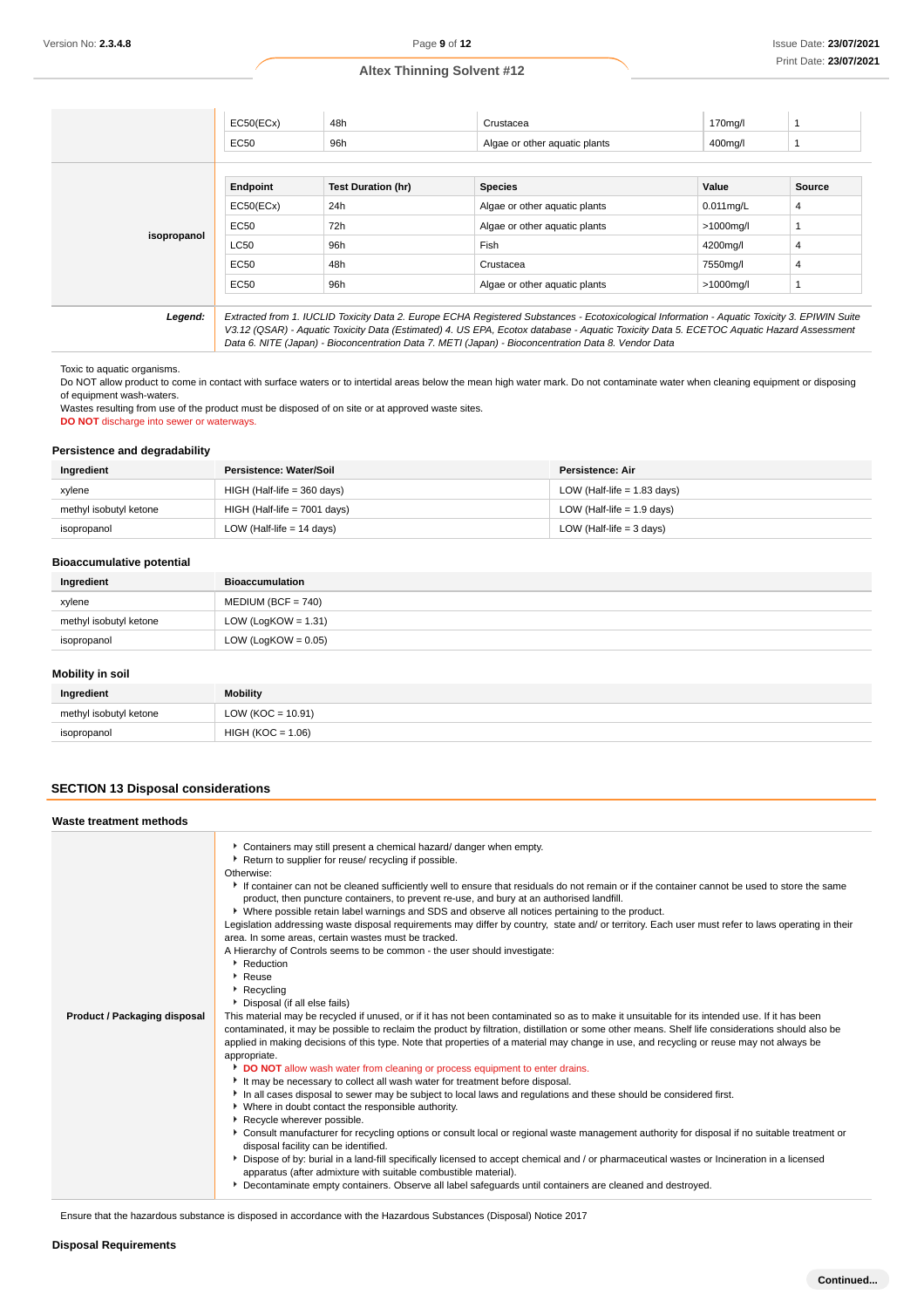|             | EC50(ECx)   | 48h                       | Crustacea                                                                                                                                                                                                                                                                                | 170mg/l      |        |
|-------------|-------------|---------------------------|------------------------------------------------------------------------------------------------------------------------------------------------------------------------------------------------------------------------------------------------------------------------------------------|--------------|--------|
|             | EC50        | 96h                       | Algae or other aguatic plants                                                                                                                                                                                                                                                            | 400mg/l      |        |
|             |             |                           |                                                                                                                                                                                                                                                                                          |              |        |
|             | Endpoint    | <b>Test Duration (hr)</b> | <b>Species</b>                                                                                                                                                                                                                                                                           | Value        | Source |
| isopropanol | EC50(ECx)   | 24h                       | Algae or other aguatic plants                                                                                                                                                                                                                                                            | $0.011$ mg/L | 4      |
|             | EC50        | 72h                       | Algae or other aquatic plants                                                                                                                                                                                                                                                            | >1000mg/l    |        |
|             | LC50        | 96h                       | Fish                                                                                                                                                                                                                                                                                     | 4200mg/l     | 4      |
|             | EC50        | 48h                       | Crustacea                                                                                                                                                                                                                                                                                | 7550mg/l     | 4      |
|             | <b>EC50</b> | 96h                       | Algae or other aguatic plants                                                                                                                                                                                                                                                            | >1000mg/l    |        |
|             |             |                           |                                                                                                                                                                                                                                                                                          |              |        |
| Legend:     |             |                           | Extracted from 1. IUCLID Toxicity Data 2. Europe ECHA Registered Substances - Ecotoxicological Information - Aquatic Toxicity 3. EPIWIN Suite<br>V3.12 (QSAR) - Aquatic Toxicity Data (Estimated) 4. US EPA, Ecotox database - Aquatic Toxicity Data 5. ECETOC Aquatic Hazard Assessment |              |        |

Data 6. NITE (Japan) - Bioconcentration Data 7. METI (Japan) - Bioconcentration Data 8. Vendor Data

Toxic to aquatic organisms.

Do NOT allow product to come in contact with surface waters or to intertidal areas below the mean high water mark. Do not contaminate water when cleaning equipment or disposing of equipment wash-waters.

Wastes resulting from use of the product must be disposed of on site or at approved waste sites.

**DO NOT** discharge into sewer or waterways.

## **Persistence and degradability**

| Ingredient             | Persistence: Water/Soil        | Persistence: Air              |
|------------------------|--------------------------------|-------------------------------|
| xylene                 | $HIGH$ (Half-life = 360 days)  | LOW (Half-life $= 1.83$ days) |
| methyl isobutyl ketone | $HIGH$ (Half-life = 7001 days) | LOW (Half-life $= 1.9$ days)  |
| isopropanol            | LOW (Half-life $= 14$ days)    | LOW (Half-life $=$ 3 days)    |

#### **Bioaccumulative potential**

| Ingredient             | <b>Bioaccumulation</b> |
|------------------------|------------------------|
| xylene                 | $MEDIUM (BCF = 740)$   |
| methyl isobutyl ketone | LOW (LogKOW = $1.31$ ) |
| isopropanol            | LOW (LogKOW = $0.05$ ) |

## **Mobility in soil**

| Ingredient             | <b>Mobility</b>       |
|------------------------|-----------------------|
| methyl isobutyl ketone | LOW ( $KOC = 10.91$ ) |
| isopropanol            | $HIGH (KOC = 1.06)$   |

## **SECTION 13 Disposal considerations**

| Waste treatment methods                                                                                                                                                                                                                                                                                                                                                                                                                                                                                                                                                                                                                                                                                                                                                                                                                                                                                                                                                                                                                                                                                                                                                                                                                                                                                                                                                                                                                                                                                                                                                                                                                                                                                                                                                                                                                                                                                                                                                                                                                                                                                                                                                                                                                                       |
|---------------------------------------------------------------------------------------------------------------------------------------------------------------------------------------------------------------------------------------------------------------------------------------------------------------------------------------------------------------------------------------------------------------------------------------------------------------------------------------------------------------------------------------------------------------------------------------------------------------------------------------------------------------------------------------------------------------------------------------------------------------------------------------------------------------------------------------------------------------------------------------------------------------------------------------------------------------------------------------------------------------------------------------------------------------------------------------------------------------------------------------------------------------------------------------------------------------------------------------------------------------------------------------------------------------------------------------------------------------------------------------------------------------------------------------------------------------------------------------------------------------------------------------------------------------------------------------------------------------------------------------------------------------------------------------------------------------------------------------------------------------------------------------------------------------------------------------------------------------------------------------------------------------------------------------------------------------------------------------------------------------------------------------------------------------------------------------------------------------------------------------------------------------------------------------------------------------------------------------------------------------|
| Containers may still present a chemical hazard/ danger when empty.<br>Return to supplier for reuse/ recycling if possible.<br>Otherwise:<br>If container can not be cleaned sufficiently well to ensure that residuals do not remain or if the container cannot be used to store the same<br>product, then puncture containers, to prevent re-use, and bury at an authorised landfill.<br>• Where possible retain label warnings and SDS and observe all notices pertaining to the product.<br>Legislation addressing waste disposal requirements may differ by country, state and/ or territory. Each user must refer to laws operating in their<br>area. In some areas, certain wastes must be tracked.<br>A Hierarchy of Controls seems to be common - the user should investigate:<br>▶ Reduction<br>Reuse<br>Recycling<br>Disposal (if all else fails)<br>Product / Packaging disposal<br>This material may be recycled if unused, or if it has not been contaminated so as to make it unsuitable for its intended use. If it has been<br>contaminated, it may be possible to reclaim the product by filtration, distillation or some other means. Shelf life considerations should also be<br>applied in making decisions of this type. Note that properties of a material may change in use, and recycling or reuse may not always be<br>appropriate.<br>DO NOT allow wash water from cleaning or process equipment to enter drains.<br>It may be necessary to collect all wash water for treatment before disposal.<br>In all cases disposal to sewer may be subject to local laws and regulations and these should be considered first.<br>* Where in doubt contact the responsible authority.<br>Recycle wherever possible.<br>▶ Consult manufacturer for recycling options or consult local or regional waste management authority for disposal if no suitable treatment or<br>disposal facility can be identified.<br>> Dispose of by: burial in a land-fill specifically licensed to accept chemical and / or pharmaceutical wastes or Incineration in a licensed<br>apparatus (after admixture with suitable combustible material).<br>Decontaminate empty containers. Observe all label safeguards until containers are cleaned and destroyed. |

Ensure that the hazardous substance is disposed in accordance with the Hazardous Substances (Disposal) Notice 2017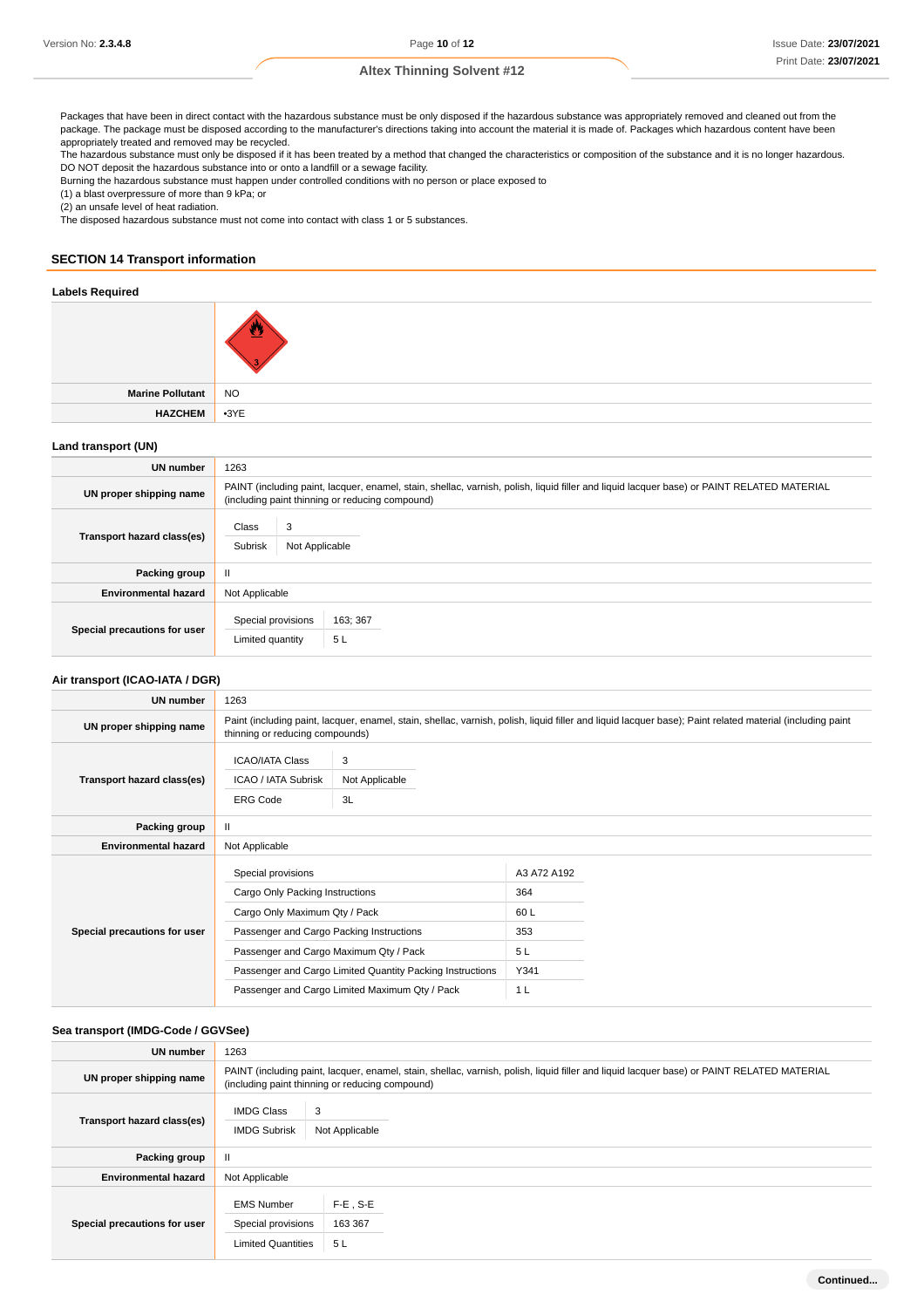Packages that have been in direct contact with the hazardous substance must be only disposed if the hazardous substance was appropriately removed and cleaned out from the package. The package must be disposed according to the manufacturer's directions taking into account the material it is made of. Packages which hazardous content have been appropriately treated and removed may be recycled.

The hazardous substance must only be disposed if it has been treated by a method that changed the characteristics or composition of the substance and it is no longer hazardous. DO NOT deposit the hazardous substance into or onto a landfill or a sewage facility.

Burning the hazardous substance must happen under controlled conditions with no person or place exposed to

(1) a blast overpressure of more than 9 kPa; or

(2) an unsafe level of heat radiation.

The disposed hazardous substance must not come into contact with class 1 or 5 substances.

### **SECTION 14 Transport information**

#### **Labels Required**

| Marine Pollutant NO |  |
|---------------------|--|
| HAZCHEM 3YE         |  |
|                     |  |

## **Land transport (UN)**

| <b>UN number</b>             | 1263                                                                                                                                                                                          |  |  |
|------------------------------|-----------------------------------------------------------------------------------------------------------------------------------------------------------------------------------------------|--|--|
| UN proper shipping name      | PAINT (including paint, lacquer, enamel, stain, shellac, varnish, polish, liquid filler and liquid lacquer base) or PAINT RELATED MATERIAL<br>(including paint thinning or reducing compound) |  |  |
| Transport hazard class(es)   | 3<br>Class<br>Subrisk<br>Not Applicable                                                                                                                                                       |  |  |
| Packing group                | Ш                                                                                                                                                                                             |  |  |
| <b>Environmental hazard</b>  | Not Applicable                                                                                                                                                                                |  |  |
| Special precautions for user | Special provisions<br>163; 367<br>5L<br>Limited quantity                                                                                                                                      |  |  |

#### **Air transport (ICAO-IATA / DGR)**

| All transport (IOAO-IATA / DOI\) |                                                                                                                                                                                                                                                                                             |                           |                                                       |  |
|----------------------------------|---------------------------------------------------------------------------------------------------------------------------------------------------------------------------------------------------------------------------------------------------------------------------------------------|---------------------------|-------------------------------------------------------|--|
| <b>UN number</b>                 | 1263                                                                                                                                                                                                                                                                                        |                           |                                                       |  |
| UN proper shipping name          | Paint (including paint, lacquer, enamel, stain, shellac, varnish, polish, liquid filler and liquid lacquer base); Paint related material (including paint<br>thinning or reducing compounds)                                                                                                |                           |                                                       |  |
| Transport hazard class(es)       | <b>ICAO/IATA Class</b><br>ICAO / IATA Subrisk<br><b>ERG Code</b>                                                                                                                                                                                                                            | 3<br>Not Applicable<br>3L |                                                       |  |
| Packing group                    | Ш                                                                                                                                                                                                                                                                                           |                           |                                                       |  |
| <b>Environmental hazard</b>      | Not Applicable                                                                                                                                                                                                                                                                              |                           |                                                       |  |
| Special precautions for user     | Special provisions<br>Cargo Only Packing Instructions<br>Cargo Only Maximum Qty / Pack<br>Passenger and Cargo Packing Instructions<br>Passenger and Cargo Maximum Qty / Pack<br>Passenger and Cargo Limited Quantity Packing Instructions<br>Passenger and Cargo Limited Maximum Qty / Pack |                           | A3 A72 A192<br>364<br>60L<br>353<br>5L<br>Y341<br>1 L |  |

#### **Sea transport (IMDG-Code / GGVSee)**

| UN number                    | 1263                                                                                                                                                                                          |                              |  |
|------------------------------|-----------------------------------------------------------------------------------------------------------------------------------------------------------------------------------------------|------------------------------|--|
| UN proper shipping name      | PAINT (including paint, lacquer, enamel, stain, shellac, varnish, polish, liquid filler and liquid lacquer base) or PAINT RELATED MATERIAL<br>(including paint thinning or reducing compound) |                              |  |
| Transport hazard class(es)   | <b>IMDG Class</b><br>3<br><b>IMDG Subrisk</b>                                                                                                                                                 | Not Applicable               |  |
| Packing group                | Ш                                                                                                                                                                                             |                              |  |
| <b>Environmental hazard</b>  | Not Applicable                                                                                                                                                                                |                              |  |
| Special precautions for user | <b>EMS Number</b><br>Special provisions<br><b>Limited Quantities</b>                                                                                                                          | $F-E$ , S-E<br>163 367<br>5L |  |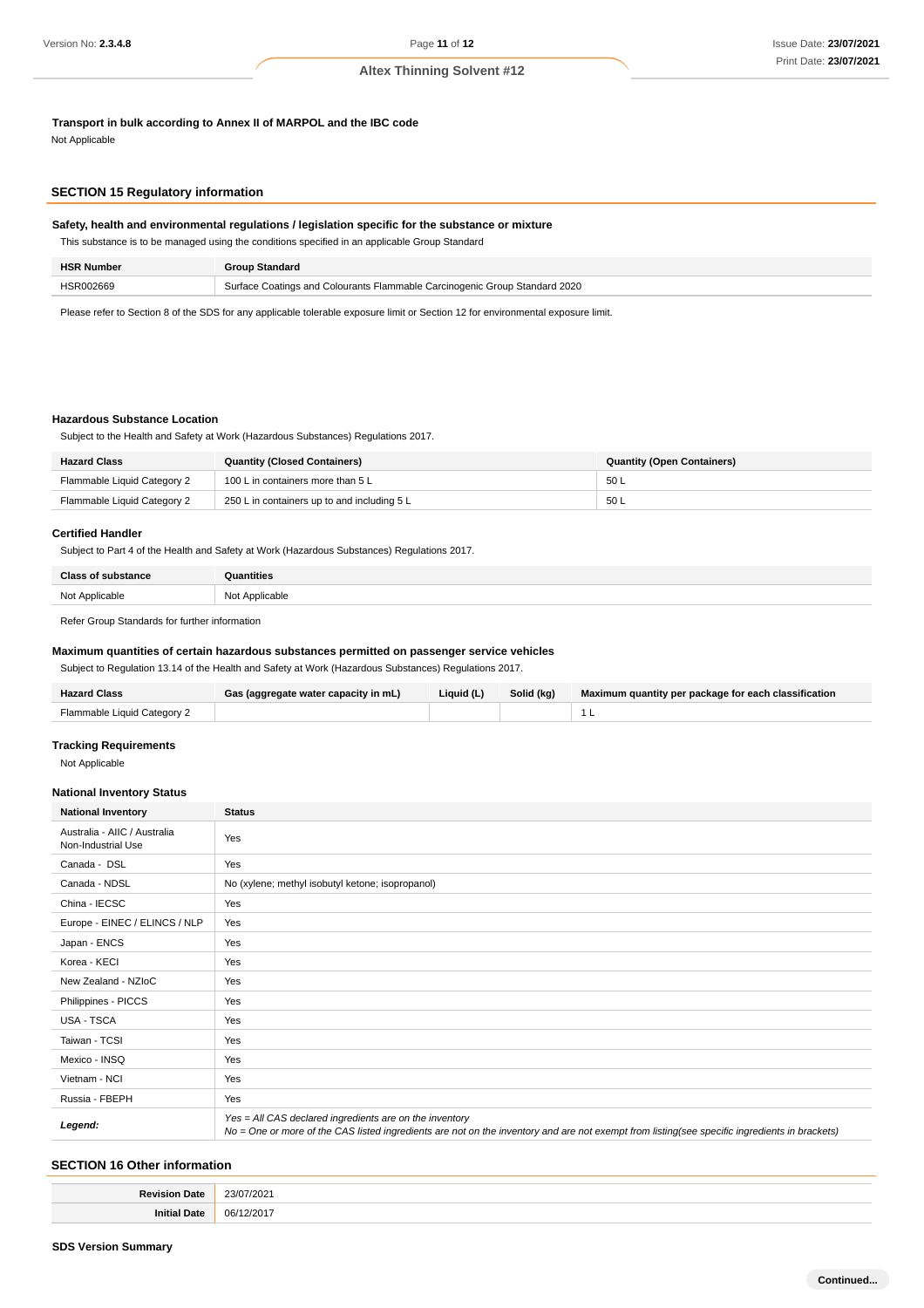**Transport in bulk according to Annex II of MARPOL and the IBC code**

Not Applicable

## **SECTION 15 Regulatory information**

## **Safety, health and environmental regulations / legislation specific for the substance or mixture**

| This substance is to be managed using the conditions specified in an applicable Group Standard |                       |  |  |
|------------------------------------------------------------------------------------------------|-----------------------|--|--|
| <b>HSR Number</b>                                                                              | <b>Group Standard</b> |  |  |

Please refer to Section 8 of the SDS for any applicable tolerable exposure limit or Section 12 for environmental exposure limit.

HSR002669 Surface Coatings and Colourants Flammable Carcinogenic Group Standard 2020

#### **Hazardous Substance Location**

Subject to the Health and Safety at Work (Hazardous Substances) Regulations 2017.

| <b>Hazard Class</b>         | <b>Quantity (Closed Containers)</b>         | <b>Quantity (Open Containers)</b> |
|-----------------------------|---------------------------------------------|-----------------------------------|
| Flammable Liquid Category 2 | 100 L in containers more than 5 L           | 50 L                              |
| Flammable Liquid Category 2 | 250 L in containers up to and including 5 L | 50 L                              |

#### **Certified Handler**

Subject to Part 4 of the Health and Safety at Work (Hazardous Substances) Regulations 2017.

| <b>Class of substance</b> | ntitiae        |
|---------------------------|----------------|
| Not Applicable            | Not Applicable |
|                           |                |

Refer Group Standards for further information

#### **Maximum quantities of certain hazardous substances permitted on passenger service vehicles**

Subject to Regulation 13.14 of the Health and Safety at Work (Hazardous Substances) Regulations 2017.

| <b>Hazard Class</b>         | Gas (aggregate water capacity in mL) | Liquid $(L)$ | Solid (kg) | Maximum quantity per package for each classification |
|-----------------------------|--------------------------------------|--------------|------------|------------------------------------------------------|
| Flammable Liquid Category 2 |                                      |              |            |                                                      |

## **Tracking Requirements**

Not Applicable

#### **National Inventory Status**

| <b>National Inventory</b>                          | <b>Status</b>                                                                                                                                                                                            |
|----------------------------------------------------|----------------------------------------------------------------------------------------------------------------------------------------------------------------------------------------------------------|
| Australia - AIIC / Australia<br>Non-Industrial Use | Yes                                                                                                                                                                                                      |
| Canada - DSL                                       | Yes                                                                                                                                                                                                      |
| Canada - NDSL                                      | No (xylene; methyl isobutyl ketone; isopropanol)                                                                                                                                                         |
| China - IECSC                                      | Yes                                                                                                                                                                                                      |
| Europe - EINEC / ELINCS / NLP                      | Yes                                                                                                                                                                                                      |
| Japan - ENCS                                       | Yes                                                                                                                                                                                                      |
| Korea - KECI                                       | Yes                                                                                                                                                                                                      |
| New Zealand - NZIoC                                | Yes                                                                                                                                                                                                      |
| Philippines - PICCS                                | Yes                                                                                                                                                                                                      |
| USA - TSCA                                         | Yes                                                                                                                                                                                                      |
| Taiwan - TCSI                                      | Yes                                                                                                                                                                                                      |
| Mexico - INSQ                                      | Yes                                                                                                                                                                                                      |
| Vietnam - NCI                                      | Yes                                                                                                                                                                                                      |
| Russia - FBEPH                                     | Yes                                                                                                                                                                                                      |
| Legend:                                            | Yes = All CAS declared ingredients are on the inventory<br>No = One or more of the CAS listed ingredients are not on the inventory and are not exempt from listing(see specific ingredients in brackets) |

## **SECTION 16 Other information**

| Date<br>Revisir        | 23/07/2021<br>.<br>__ |
|------------------------|-----------------------|
| <b>Initial</b><br>Date | 06/12/2017            |